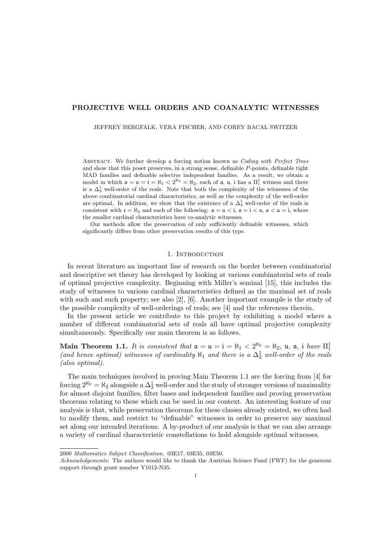# PROJECTIVE WELL ORDERS AND COANALYTIC WITNESSES

JEFFREY BERGFALK, VERA FISCHER, AND COREY BACAL SWITZER

Abstract. We further develop a forcing notion known as *Coding with Perfect Trees* and show that this poset preserves, in a strong sense, definable *P*-points, definable tight MAD families and definable selective independent families. As a result, we obtain a model in which  $\mathfrak{a} = \mathfrak{u} = \mathfrak{i} = \aleph_1 < 2^{\aleph_0} = \aleph_2$ , each of  $\mathfrak{a}$ ,  $\mathfrak{u}$ ,  $\mathfrak{i}$  has a  $\Pi_1^1$  witness and there is a  $\Delta_3^1$  well-order of the reals. Note that both the complexity of the witnesses of the above combinatorial cardinal characteristics, as well as the complexity of the well-order are optimal. In addition, we show that the existence of a  $\Delta_3^1$  well-order of the reals is consistent with  $c = \aleph_2$  and each of the following:  $a = u < i$ ,  $a = i < u$ ,  $a < u = i$ , where the smaller cardinal characteristics have co-analytic witnesses.

Our methods allow the preservation of only sufficiently definable witnesses, which significantly differs from other preservation results of this type.

#### 1. INTRODUCTION

In recent literature an important line of research on the border between combinatorial and descriptive set theory has developed by looking at various combinatorial sets of reals of optimal projective complexity. Beginning with Miller's seminal [15], this includes the study of witnesses to various cardinal characteristics defined as the maximal set of reals with such and such property; see also [2], [6]. Another important example is the study of the possible complexity of well-orderings of reals; see [4] and the references therein.

In the present article we contribute to this project by exhibiting a model where a number of different combinatorial sets of reals all have optimal projective complexity simultaneously. Specifically our main theorem is as follows.

Main Theorem 1.1. *It is consistent that*  $\mathfrak{a} = \mathfrak{u} = \mathfrak{i} = \aleph_1 < 2^{\aleph_0} = \aleph_2$ ,  $\mathfrak{u}$ ,  $\mathfrak{a}$ , i *have*  $\Pi_1^1$ (and hence optimal) witnesses of cardinality  $\aleph_1$  and there is a  $\Delta_3^1$  well-order of the reals *(also optimal).*

The main techniques involved in proving Main Theorem 1.1 are the forcing from [4] for forcing  $2^{\aleph_0} = \aleph_2$  alongside a  $\Delta_3^1$  well-order and the study of stronger versions of maximality for almost disjoint families, filter bases and independent families and proving preservation theorems relating to these which can be used in our context. An interesting feature of our analysis is that, while preservation theorems for these classes already existed, we often had to modify them, and restrict to "definable" witnesses in order to preserve any maximal set along our intended iterations. A by-product of our analysis is that we can also arrange a variety of cardinal characteristic constellations to hold alongside optimal witnesses.

<sup>2000</sup> *Mathematics Subject Classification.* 03E17, 03E35, 03E50.

*Acknowledgements:* The authors would like to thank the Austrian Science Fund (FWF) for the generous support through grant number Y1012-N35.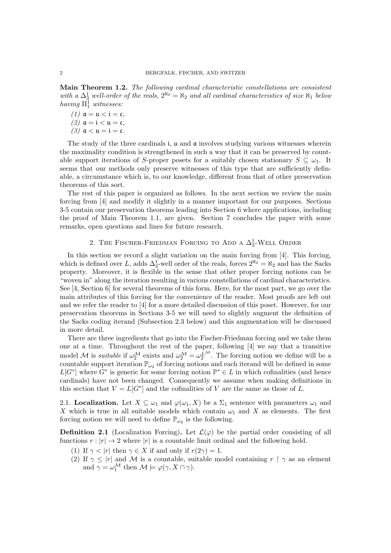Main Theorem 1.2. *The following cardinal characteristic constellations are consistent* with a  $\Delta^1_{3}$  well-order of the reals,  $2^{\aleph_0} = \aleph_2$  and all cardinal characteristics of size  $\aleph_1$  below  $having \Pi<sub>1</sub><sup>1</sup> \textit{witnesses:}$ 

 $(1)$   $\mathfrak{a} = \mathfrak{u} < \mathfrak{i} = \mathfrak{c}$ ,  $(2)$   $\mathfrak{a} = \mathfrak{i} < \mathfrak{u} = \mathfrak{c}$ ,  $(3)$   $\alpha < \mu = i = c$ .

The study of the three cardinals i, u and a involves studying various witnesses wherein the maximality condition is strengthened in such a way that it can be preserved by countable support iterations of *S*-proper posets for a suitably chosen stationary  $S \subseteq \omega_1$ . It seems that our methods only preserve witnesses of this type that are sufficiently definable, a circumstance which is, to our knowledge, different from that of other preservation theorems of this sort.

The rest of this paper is organized as follows. In the next section we review the main forcing from [4] and modify it slightly in a manner important for our purposes. Sections 3-5 contain our preservation theorems leading into Section 6 where applications, including the proof of Main Theorem 1.1, are given. Section 7 concludes the paper with some remarks, open questions and lines for future research.

# 2. The Fischer-Friedman Forcing to Add a  $\Delta_3^1$ -Well Order

In this section we record a slight variation on the main forcing from [4]. This forcing, which is defined over *L*, adds  $\Delta_3^1$ -well order of the reals, forces  $2^{\aleph_0} = \aleph_2$  and has the Sacks property. Moreover, it is flexible in the sense that other proper forcing notions can be "woven in" along the iteration resulting in various constellations of cardinal characteristics. See [4, Section 6] for several theorems of this form. Here, for the most part, we go over the main attributes of this forcing for the convenience of the reader. Most proofs are left out and we refer the reader to [4] for a more detailed discussion of this poset. However, for our preservation theorems in Sections 3-5 we will need to slightly augment the definition of the Sacks coding iterand (Subsection 2.3 below) and this augmentation will be discussed in more detail.

There are three ingredients that go into the Fischer-Friedman forcing and we take them one at a time. Throughout the rest of the paper, following [4] we say that a transitive model *M* is *suitable* if  $\omega_2^M$  exists and  $\omega_2^M = \omega_2^{L^M}$ . The forcing notion we define will be a countable support iteration  $\mathbb{P}_{\omega_2}$  of forcing notions and each iterand will be defined in some  $L[G^*]$  where  $G^*$  is generic for some forcing notion  $\mathbb{P}^* \in L$  in which cofinalities (and hence cardinals) have not been changed. Consequently we assume when making definitions in this section that  $V = L[G^*]$  and the cofinalities of *V* are the same as those of *L*.

2.1. **Localization.** Let  $X \subseteq \omega_1$  and  $\varphi(\omega_1, X)$  be a  $\Sigma_1$  sentence with parameters  $\omega_1$  and *X* which is true in all suitable models which contain  $\omega_1$  and *X* as elements. The first forcing notion we will need to define  $\mathbb{P}_{\omega_2}$  is the following.

**Definition 2.1** (Localization Forcing). Let  $\mathcal{L}(\varphi)$  be the partial order consisting of all functions  $r : |r| \to 2$  where  $|r|$  is a countable limit ordinal and the following hold.

- (1) If  $\gamma < |r|$  then  $\gamma \in X$  if and only if  $r(2\gamma) = 1$ .
- (2) If  $\gamma \leq |r|$  and M is a countable, suitable model containing  $r \upharpoonright \gamma$  as an element and  $\gamma = \omega_1^{\mathcal{M}}$  then  $\mathcal{M} \models \varphi(\gamma, X \cap \gamma)$ .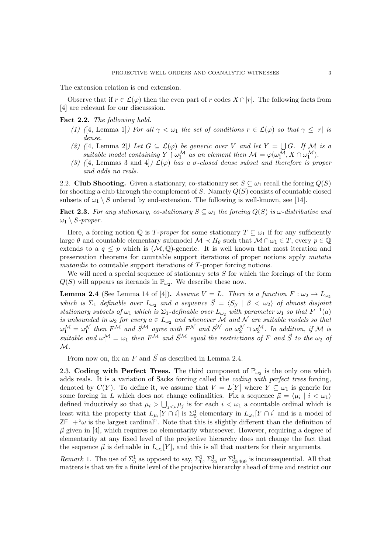The extension relation is end extension.

Observe that if  $r \in \mathcal{L}(\varphi)$  then the even part of *r* codes  $X \cap |r|$ . The following facts from [4] are relevant for our discusssion.

# Fact 2.2. *The following hold.*

- *(1) (*[4, Lemma 1]*)* For all  $\gamma < \omega_1$  the set of conditions  $r \in \mathcal{L}(\varphi)$  so that  $\gamma \leq |r|$  is *dense.*
- *(2)* ([4, Lemma 2]*)* Let  $G \subseteq \mathcal{L}(\varphi)$  be generic over V and let  $Y = \bigcup G$ . If M is a *suitable model containing*  $Y \upharpoonright \omega_1^{\mathcal{M}}$  *as an element then*  $\mathcal{M} \models \varphi(\omega_1^{\mathcal{M}}, X \cap \omega_1^{\mathcal{M}})$ *.*
- (3) (4, Lemmas 3 and 4)  $\mathcal{L}(\varphi)$  *has a*  $\sigma$ -closed dense subset and therefore is proper *and adds no reals.*

2.2. Club Shooting. Given a stationary, co-stationary set  $S \subseteq \omega_1$  recall the forcing  $Q(S)$ for shooting a club through the complement of *S*. Namely *Q*(*S*) consists of countable closed subsets of  $\omega_1 \setminus S$  ordered by end-extension. The following is well-known, see [14].

**Fact 2.3.** For any stationary, co-stationary  $S \subseteq \omega_1$  the forcing  $Q(S)$  is  $\omega$ -distributive and  $\omega_1 \setminus S$ *-proper.* 

Here, a forcing notion  $\mathbb{Q}$  is *T*-proper for some stationary  $T \subseteq \omega_1$  if for any sufficiently large  $\theta$  and countable elementary submodel  $\mathcal{M} \prec H_{\theta}$  such that  $\mathcal{M} \cap \omega_1 \in T$ , every  $p \in \mathbb{Q}$ extends to a  $q \leq p$  which is  $(\mathcal{M}, \mathbb{Q})$ -generic. It is well known that most iteration and preservation theorems for countable support iterations of proper notions apply *mutatis mutandis* to countable support iterations of *T*-proper forcing notions.

We will need a special sequence of stationary sets *S* for which the forcings of the form  $Q(S)$  will appears as iterands in  $\mathbb{P}_{\omega_2}$ . We describe these now.

**Lemma 2.4** (See Lemma 14 of [4]). Assume  $V = L$ . There is a function  $F : \omega_2 \to L_{\omega_2}$ which is  $\Sigma_1$  definable over  $L_{\omega_2}$  and a sequence  $\vec{S} = \langle S_\beta | \beta \langle \omega_2 \rangle$  of almost disjoint *stationary subsets of*  $\omega_1$  *which is*  $\Sigma_1$ *-definable over*  $L_{\omega_2}$  *with parameter*  $\omega_1$  *so that*  $F^{-1}(a)$ *is unbounded in*  $\omega_2$  *for every*  $a \in L_{\omega_2}$  *and whenever* M *and* N *are suitable models so that*  $\omega_1^{\mathcal{M}} = \omega_1^{\mathcal{N}}$  then  $F^{\mathcal{M}}$  and  $\vec{S}^{\mathcal{M}}$  agree with  $F^{\mathcal{N}}$  and  $\vec{S}^{\mathcal{N}}$  on  $\omega_2^{\mathcal{N}} \cap \omega_2^{\mathcal{M}}$ . In addition, if  $\mathcal{M}$  is *suitable and*  $\omega_1^{\mathcal{M}} = \omega_1$  *then*  $F^{\mathcal{M}}$  *and*  $\vec{S}^{\mathcal{M}}$  *equal the restrictions of*  $F$  *and*  $\vec{S}$  *to the*  $\omega_2$  *of M.*

From now on, fix an  $F$  and  $\vec{S}$  as described in Lemma 2.4.

2.3. Coding with Perfect Trees. The third component of  $\mathbb{P}_{\omega_2}$  is the only one which adds reals. It is a variation of Sacks forcing called the *coding with perfect trees* forcing, denoted by  $C(Y)$ . To define it, we assume that  $V = L[Y]$  where  $Y \subseteq \omega_1$  is generic for some forcing in *L* which does not change cofinalities. Fix a sequence  $\vec{\mu} = \langle \mu_i | i \langle \omega_1 \rangle$ defined inductively so that  $\mu_i > \bigcup_{j is for each  $i < \omega_1$  a countable ordinal which is$ least with the property that  $L_{\mu_i}[Y \cap i]$  is  $\Sigma_5^1$  elementary in  $L_{\omega_1}[Y \cap i]$  and is a model of  $ZF^+$ " $\omega$  is the largest cardinal". Note that this is slightly different than the definition of  $\vec{\mu}$  given in [4], which requires no elementarity whatsoever. However, requiring a degree of elementarity at any fixed level of the projective hierarchy does not change the fact that the sequence  $\vec{\mu}$  is definable in  $L_{\omega_1}[Y]$ , and this is all that matters for their arguments.

*Remark* 1. The use of  $\Sigma_5^1$  as opposed to say,  $\Sigma_6^1$ ,  $\Sigma_{25}^1$  or  $\Sigma_{35469}^1$  is inconsequential. All that matters is that we fix a finite level of the projective hierarchy ahead of time and restrict our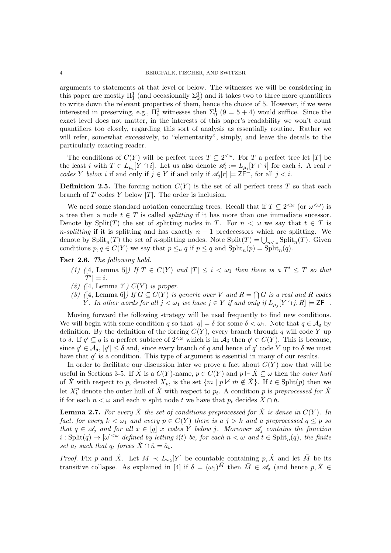arguments to statements at that level or below. The witnesses we will be considering in this paper are mostly  $\Pi_1^1$  (and occasionally  $\Sigma_2^1$ ) and it takes two to three more quantifiers to write down the relevant properties of them, hence the choice of 5. However, if we were interested in preserving, e.g.,  $\Pi_5^1$  witnesses then  $\Sigma_9^1$  (9 = 5 + 4) would suffice. Since the exact level does not matter, in the interests of this paper's readability we won't count quantifiers too closely, regarding this sort of analysis as essentially routine. Rather we will refer, somewhat excessively, to "elementarity", simply, and leave the details to the particularly exacting reader.

The conditions of  $C(Y)$  will be perfect trees  $T \subseteq 2^{<\omega}$ . For *T* a perfect tree let |*T*| be the least *i* with  $T \in L_{\mu_i}[Y \cap i]$ . Let us also denote  $\mathscr{A}_i := L_{\mu_i}[Y \cap i]$  for each *i*. A real *r codes Y below i* if and only if  $j \in Y$  if and only if  $\mathscr{A}_i[r] \models \mathsf{ZF}^-$ , for all  $j < i$ .

**Definition 2.5.** The forcing notion  $C(Y)$  is the set of all perfect trees T so that each branch of *T* codes *Y* below *|T|*. The order is inclusion.

We need some standard notation concerning trees. Recall that if  $T \subseteq 2^{<\omega}$  (or  $\omega^{\lt;\omega}$ ) is a tree then a node  $t \in T$  is called *splitting* if it has more than one immediate sucessor. Denote by Split(*T*) the set of splitting nodes in *T*. For  $n < \omega$  we say that  $t \in T$  is *n*-*splitting* if it is splitting and has exactly  $n-1$  predecessors which are splitting. We denote by  $\text{Split}_n(T)$  the set of *n*-splitting nodes. Note  $\text{Split}(T) = \bigcup_{n < \omega} \text{Split}_n(T)$ . Given conditions  $p, q \in C(Y)$  we say that  $p \leq_q q$  if  $p \leq q$  and  $\text{Split}_n(p) = \text{Split}_n(q)$ .

Fact 2.6. *The following hold.*

- *(1) (*[4, Lemma 5]*)* If  $T \in C(Y)$  and  $|T| \leq i < \omega_1$  then there is a  $T' \leq T$  so that  $|T'| = i.$
- *(2) (*[4, Lemma 7]*) C*(*Y* ) *is proper.*
- *(3) (*[4, Lemma 6]*)* If  $G \subseteq C(Y)$  *is generic over V* and  $R = \bigcap G$  *is a real and R codes Y . In other words for all*  $j < \omega_1$  *we have*  $j \in Y$  *if and only if*  $L_{\mu_j}[Y \cap j, R] \models \mathsf{ZF}^-$ *.*

Moving forward the following strategy will be used frequently to find new conditions. We will begin with some condition *q* so that  $|q| = \delta$  for some  $\delta < \omega_1$ . Note that  $q \in A_{\delta}$  by definition. By the definition of the forcing  $C(Y)$ , every branch through q will code Y up to  $\delta$ . If  $q' \subseteq q$  is a perfect subtree of  $2^{<\omega}$  which is in  $\mathcal{A}_{\delta}$  then  $q' \in C(Y)$ . This is because, since  $q' \in A_{\delta}$ ,  $|q'| \leq \delta$  and, since every branch of *q* and hence of *q*' code *Y* up to  $\delta$  we must have that  $q'$  is a condition. This type of argument is essential in many of our results.

In order to facilitate our discussion later we prove a fact about  $C(Y)$  now that will be useful in Sections 3-5. If  $\dot{X}$  is a  $C(Y)$ -name,  $p \in C(Y)$  and  $p \Vdash \dot{X} \subseteq \omega$  then the *outer hull* of X with respect to p, denoted  $X_p$ , is the set  $\{m \mid p \nV \text{ in } \notin X\}$ . If  $t \in \text{Split}(p)$  then we let  $X_t^p$  denote the outer hull of  $\dot{X}$  with respect to  $p_t$ . A condition  $p$  is *preprocessed for*  $\dot{X}$ if for each  $n < \omega$  and each *n* split node *t* we have that  $p_t$  decides  $X \cap \check{n}$ .

**Lemma 2.7.** For every  $\dot{X}$  the set of conditions preprocessed for  $\dot{X}$  is dense in  $C(Y)$ . In *fact, for every*  $k < \omega_1$  *and every*  $p \in C(Y)$  *there is a*  $j > k$  *and a preprocessed*  $q \leq p$  *so that*  $q \in \mathscr{A}_j$  *and for all*  $x \in [q]$  *x codes*  $\hat{Y}$  *below j. Moreover*  $\mathscr{A}_j$  *contains the function*  $i : Split(q) \rightarrow [\omega]^{<\omega}$  defined by letting  $i(t)$  be, for each  $n < \omega$  and  $t \in Split_n(q)$ , the finite set  $a_t$  such that  $q_t$  forces  $\dot{X} \cap \check{n} = \check{a}_t$ .

*Proof.* Fix *p* and  $\dot{X}$ . Let  $M \prec L_{\omega_2}[Y]$  be countable containing *p*,  $\dot{X}$  and let  $\bar{M}$  be its transitive collapse. As explained in [4] if  $\delta = (\omega_1)^{\bar{M}}$  then  $\bar{M} \in \mathscr{A}_{\delta}$  (and hence  $p, \dot{X} \in$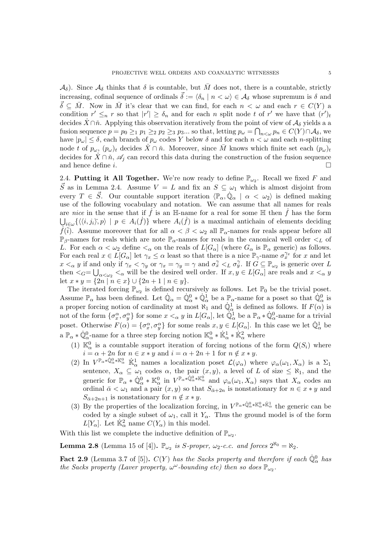$\mathcal{A}_{\delta}$ ). Since  $\mathcal{A}_{\delta}$  thinks that  $\delta$  is countable, but *M* does not, there is a countable, strictly increasing, cofinal sequence of ordinals  $\vec{\delta} := \langle \delta_n | n \langle \omega \rangle \in A_\delta$  whose supremum is  $\delta$  and  $\vec{\delta} \subseteq \vec{M}$ . Now in  $\vec{M}$  it's clear that we can find, for each  $n < \omega$  and each  $r \in C(Y)$  a condition  $r' \leq_n r$  so that  $|r'| \geq \delta_n$  and for each *n* split node *t* of  $r'$  we have that  $(r')_t$ decides  $\dot{X} \cap \check{n}$ . Applying this observation iteratively from the point of view of  $\mathcal{A}_{\delta}$  yields a a fusion sequence  $p = p_0 \geq_1 p_1 \geq_2 p_2 \geq_3 p_3$ ... so that, letting  $p_\omega = \bigcap_{n < \omega} p_n \in C(Y) \cap \mathcal{A}_\delta$ , we have  $|p_{\omega}| \leq \delta$ , each branch of  $p_{\omega}$  codes Y below  $\delta$  and for each  $n < \omega$  and each *n*-splitting node *t* of  $p_{\omega}$ ,  $(p_{\omega})_t$  decides  $\hat{X} \cap \hat{n}$ . Moreover, since  $\hat{M}$  knows which finite set each  $(p_{\omega})_t$ decides for  $X \cap \tilde{n}$ ,  $\mathscr{A}_j$  can record this data during the construction of the fusion sequence<br>and hence define i and hence define *i*.

2.4. Putting it All Together. We're now ready to define  $\mathbb{P}_{\omega_2}$ . Recall we fixed *F* and  $\vec{S}$  as in Lemma 2.4. Assume  $V = L$  and fix an  $S \subseteq \omega_1$  which is almost disjoint from every  $T \in \vec{S}$ . Our countable support iteration  $\langle \mathbb{P}_{\alpha}, \dot{\mathbb{Q}}_{\alpha} | \alpha < \omega_2 \rangle$  is defined making use of the following vocabulary and notation. We can assume that all names for reals are *nice* in the sense that if  $\hat{f}$  is an H-name for a real for some H then  $\hat{f}$  has the form  $\bigcup_{i \in \omega} \{ \langle \langle i, j_i \rangle, p \rangle \mid p \in A_i(f) \}$  where  $A_i(f)$  is a maximal antichain of elements deciding  $\dot{f}(\check{i})$ . Assume moreover that for all  $\alpha < \beta < \omega_2$  all  $\mathbb{P}_{\alpha}$ -names for reals appear before all  $\mathbb{P}_{\beta}$ -names for reals which are note  $\mathbb{P}_{\alpha}$ -names for reals in the canonical well order  $\lt_L$  of *L*. For each  $\alpha < \omega_2$  define  $\lt_{\alpha}$  on the reals of  $L[G_\alpha]$  (where  $G_\alpha$  is  $\mathbb{P}_\alpha$  generic) as follows. For each real  $x \in L[G_\alpha]$  let  $\gamma_x \leq \alpha$  least so that there is a nice  $\mathbb{P}_{\gamma}$ -name  $\sigma_x^{\gamma_x}$  for *x* and let  $x <_{\alpha} y$  if and only if  $\gamma_x < \gamma_y$  or  $\gamma_x = \gamma_y = \gamma$  and  $\sigma_x^{\gamma} <_{L} \sigma_y^{\gamma}$ . If  $G \subseteq \mathbb{P}_{\omega_2}$  is generic over *L* then  $\lt_G = \bigcup_{\alpha \lt \omega_2} \lt_{\alpha}$  will be the desired well order. If  $x, y \in L[G_\alpha]$  are reals and  $x \lt_{\alpha} y$ let  $x * y = \{2n \mid n \in x\} \cup \{2n + 1 \mid n \in y\}.$ 

The iterated forcing  $\mathbb{P}_{\omega_2}$  is defined recursively as follows. Let  $\mathbb{P}_0$  be the trivial poset. Assume  $\mathbb{P}_{\alpha}$  has been defined. Let  $\mathbb{Q}_{\alpha} = \mathbb{Q}_{\alpha}^0 * \mathbb{Q}_{\alpha}^1$  be a  $\mathbb{P}_{\alpha}$ -name for a poset so that  $\mathbb{Q}_{\alpha}^0$  is a proper forcing notion of cardinality at most  $\aleph_1$  and  $\mathbb{Q}^1_\alpha$  is defined as follows. If  $F(\alpha)$  is not of the form  $\{\sigma_x^{\alpha}, \sigma_y^{\alpha}\}\$  for some  $x <_{\alpha} y$  in  $L[G_{\alpha}]$ , let  $\mathbb{Q}^1_{\alpha}$  be a  $\mathbb{P}_{\alpha} * \mathbb{Q}^0_{\alpha}$ -name for a trivial poset. Otherwise  $F(\alpha) = \{\sigma_x^{\alpha}, \sigma_y^{\alpha}\}\$  for some reals  $x, y \in L[G_{\alpha}]$ . In this case we let  $\mathbb{Q}^1_{\alpha}$  be a  $\mathbb{P}_\alpha * \dot{\mathbb{Q}}^0_\alpha$ -name for a three step forcing notion  $\mathbb{K}^0_\alpha * \dot{\mathbb{K}}^1_\alpha * \dot{\mathbb{K}}^2_\alpha$  where

- (1)  $\mathbb{K}_{\alpha}^{0}$  is a countable support iteration of forcing notions of the form  $Q(S_i)$  where  $i = \alpha + 2n$  for  $n \in x * y$  and  $i = \alpha + 2n + 1$  for  $n \notin x * y$ .
- (2) In  $V^{\mathbb{P}_\alpha * \mathbb{Q}_\alpha^0 * \mathbb{K}_\alpha^0}$  is a localization poset  $\mathcal{L}(\varphi_\alpha)$  where  $\varphi_\alpha(\omega_1, X_\alpha)$  is a  $\Sigma_1$ sentence,  $X_{\alpha} \subseteq \omega_1$  codes  $\alpha$ , the pair  $(x, y)$ , a level of *L* of size  $\leq \aleph_1$ , and the generic for  $\mathbb{P}_{\alpha} * \mathbb{Q}_{\alpha}^0 * \mathbb{K}_{\alpha}^0$  in  $V^{\mathbb{P}_{\alpha} * \mathbb{Q}_{\alpha}^0 * \mathbb{K}_{\alpha}^0}$  and  $\varphi_{\alpha}(\omega_1, X_{\alpha})$  says that  $X_{\alpha}$  codes an ordinal  $\bar{\alpha} < \omega_1$  and a pair  $(x, y)$  so that  $S_{\bar{\alpha}+2n}$  is nonstationary for  $n \in x * y$  and  $S_{\bar{\alpha}+2n+1}$  is nonstationary for  $n \notin x * y$ .
- (3) By the properties of the localization forcing, in  $V^{\mathbb{P}_{\alpha} * \mathbb{Q}^0_{\alpha} * \mathbb{K}^1_{\alpha}}$  the generic can be coded by a single subset of  $\omega_1$ , call it  $Y_\alpha$ . Thus the ground model is of the form  $L[Y_\alpha]$ . Let  $\dot{\mathbb{K}}_\alpha^2$  name  $C(Y_\alpha)$  in this model.

With this list we complete the inductive definition of  $\mathbb{P}_{\omega_2}$ .

**Lemma 2.8** (Lemma 15 of [4]).  $\mathbb{P}_{\omega_2}$  *is S-proper,*  $\omega_2$ *-c.c. and forces*  $2^{\aleph_0} = \aleph_2$ *.* 

Fact 2.9 (Lemma 3.7 of [5]).  $C(Y)$  has the Sacks property and therefore if each  $\dot{\mathbb{Q}}_{\alpha}^0$  has *the Sacks property (Laver property,*  $\omega^{\omega}$ -bounding etc) then so does  $\mathbb{P}_{\omega_2}$ .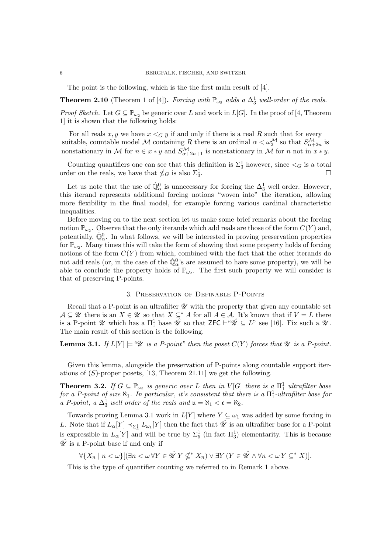The point is the following, which is the the first main result of [4].

**Theorem 2.10** (Theorem 1 of [4]). *Forcing with*  $\mathbb{P}_{\omega_2}$  *adds a*  $\Delta_3^1$  *well-order of the reals.* 

*Proof Sketch.* Let  $G \subseteq \mathbb{P}_{\omega_2}$  be generic over *L* and work in  $L[G]$ . In the proof of [4, Theorem 1] it is shown that the following holds:

For all reals  $x, y$  we have  $x <$  *G*  $y$  if and only if there is a real  $R$  such that for every suitable, countable model M containing R there is an ordinal  $\alpha < \omega_2^{\mathcal{M}}$  so that  $S^{\mathcal{M}}_{\alpha+2n}$  is nonstationary in *M* for  $n \in x * y$  and  $S_{\alpha+2n+1}^{\mathcal{M}}$  is nonstationary in  $\mathcal{M}$  for *n* not in  $x * y$ .

Counting quantifiers one can see that this definition is  $\Sigma_3^1$  however, since  $\lt_G$  is a total order on the reals, we have that  $\leq_G$  is also  $\Sigma_3^1$ .  $\frac{1}{3}$ .

Let us note that the use of  $\dot{\mathbb{Q}}_{\alpha}^{0}$  is unnecessary for forcing the  $\Delta_{3}^{1}$  well order. However, this iterand represents additional forcing notions "woven into" the iteration, allowing more flexibility in the final model, for example forcing various cardinal characteristic inequalities.

Before moving on to the next section let us make some brief remarks about the forcing notion  $\mathbb{P}_{\omega}$ . Observe that the only iterands which add reals are those of the form  $C(Y)$  and, potentially,  $\dot{\mathbb{Q}}_{\alpha}^0$ . In what follows, we will be interested in proving preservation properties for  $\mathbb{P}_{\omega_2}$ . Many times this will take the form of showing that some property holds of forcing notions of the form  $C(Y)$  from which, combined with the fact that the other iterands do not add reals (or, in the case of the  $\dot{\mathbb{Q}}_{\alpha}^{0}$ 's are assumed to have some property), we will be able to conclude the property holds of  $\mathbb{P}_{\omega_2}$ . The first such property we will consider is that of preserving P-points.

### 3. Preservation of Definable P-Points

Recall that a P-point is an ultrafilter  $\mathscr U$  with the property that given any countable set  $A \subseteq \mathcal{U}$  there is an  $X \in \mathcal{U}$  so that  $X \subseteq^* A$  for all  $A \in \mathcal{A}$ . It's known that if  $V = L$  there is a P-point  $\mathscr U$  which has a  $\Pi_1^1$  base  $\hat{\mathscr U}$  so that  $\mathsf{ZFC} \vdash ``\hat{\mathscr U} \subseteq L"$  see [16]. Fix such a  $\mathscr U$ . The main result of this section is the following.

**Lemma 3.1.** *If*  $L[Y] \models \mathscr{U}$  *is a P-point" then the poset*  $C(Y)$  *forces that*  $\mathscr{U}$  *is a P-point.* 

Given this lemma, alongside the preservation of P-points along countable support iterations of (*S*)-proper posets, [13, Theorem 21.11] we get the following.

**Theorem 3.2.** If  $G \subseteq \mathbb{P}_{\omega_2}$  is generic over *L* then in  $V[G]$  there is a  $\Pi_1^1$  ultrafilter base  $for a P-point of size  $\aleph_1$ . In particular, it's consistent that there is a  $\Pi_1^1$ -ultrafilter base for$ *a P-point, a*  $\Delta_3^1$  *well order of the reals and*  $\mathfrak{u} = \aleph_1 < \mathfrak{c} = \aleph_2$ *.* 

Towards proving Lemma 3.1 work in  $L[Y]$  where  $Y \subseteq \omega_1$  was added by some forcing in *L*. Note that if  $L_{\alpha}[Y] \prec_{\Sigma_5^1} L_{\omega_1}[Y]$  then the fact that  $\hat{\mathscr{U}}$  is an ultrafilter base for a P-point is expressible in  $L_{\alpha}[Y]$  and will be true by  $\Sigma_5^1$  (in fact  $\Pi_3^1$ ) elementarity. This is because  $\hat{\mathscr{U}}$  is a P-point base if and only if

 $\forall \{X_n \mid n < \omega\} \quad (\exists n < \omega \ \forall Y \in \hat{\mathcal{U}} \ Y \nsubseteq^* X_n) \ \lor \exists Y \ (Y \in \hat{\mathcal{U}} \ \land \forall n < \omega \ Y \subset^* X).$ 

This is the type of quantifier counting we referred to in Remark 1 above.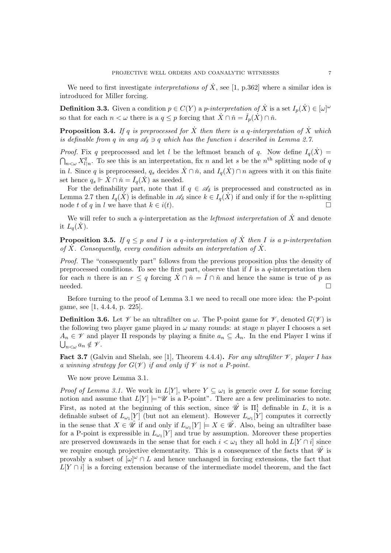We need to first investigate *interpretations of*  $\dot{X}$ , see [1, p.362] where a similar idea is introduced for Miller forcing.

**Definition 3.3.** Given a condition  $p \in C(Y)$  a *p*-*interpretation of*  $\dot{X}$  is a set  $I_p(\dot{X}) \in [\omega]^\omega$ so that for each  $n < \omega$  there is a  $q \leq p$  forcing that  $\dot{X} \cap \check{n} = \check{I}_p(\dot{X}) \cap \check{n}$ .

**Proposition 3.4.** If q is preprocessed for  $\dot{X}$  then there is a q-interpretation of  $\dot{X}$  which *is definable from q in any*  $\mathscr{A}_{\delta} \ni q$  *which has the function i described in Lemma 2.7.* 

*Proof.* Fix *q* preprocessed and let *l* be the leftmost branch of *q*. Now define  $I_q(\dot{X}) =$  $\bigcap_{n<\omega} X_{l|n}^q$ . To see this is an interpretation, fix *n* and let *s* be the *n*<sup>th</sup> splitting node of *q* in *l*. Since *q* is preprocessed,  $q_s$  decides  $\dot{X} \cap \dot{n}$ , and  $I_q(\dot{X}) \cap n$  agrees with it on this finite set hence  $q_s \Vdash \dot{X} \cap \check{n} = I_q(\dot{X})$  as needed.

For the definability part, note that if  $q \in \mathscr{A}_{\delta}$  is preprocessed and constructed as in Lemma 2.7 then  $I_q(X)$  is definable in  $\mathscr{A}_\delta$  since  $k \in I_q(X)$  if and only if for the *n*-splitting node t of q in l we have that  $k \in i(t)$ . node *t* of *q* in *l* we have that  $k \in i(t)$ .

We will refer to such a *q*-interpretation as the *leftmost interpretation* of  $\dot{X}$  and denote it  $L_q(X)$ .

**Proposition 3.5.** If  $q \leq p$  and *I* is a *q*-interpretation of  $\overline{X}$  then *I* is a *p*-interpretation of  $\overline{X}$ . Consequently, every condition admits an interpretation of  $\overline{X}$ .

*Proof.* The "consequently part" follows from the previous proposition plus the density of preprocessed conditions. To see the first part, observe that if *I* is a *q*-interpretation then for each *n* there is an  $r \leq q$  forcing  $X \cap \check{n} = I \cap \check{n}$  and hence the same is true of *p* as needed.  $\Box$  needed.  $\Box$ 

Before turning to the proof of Lemma 3.1 we need to recall one more idea: the P-point game, see [1, 4.4.4, p. 225].

**Definition 3.6.** Let  $\mathcal V$  be an ultrafilter on  $\omega$ . The P-point game for  $\mathcal V$ , denoted  $G(\mathcal V)$  is the following two player game played in  $\omega$  many rounds: at stage *n* player I chooses a set  $A_n \in \mathcal{V}$  and player II responds by playing a finite  $a_n \subseteq A_n$ . In the end Player I wins if  $\bigcup_{n<\omega}a_n\notin\mathscr{V}.$ 

**Fact 3.7** (Galvin and Shelah, see [1], Theorem 4.4.4). For any ultrafilter  $\mathcal V$ , player I has *a winning strategy for*  $G(\mathcal{V})$  *if and only if*  $\mathcal{V}$  *is not a P-point.* 

We now prove Lemma 3.1.

*Proof of Lemma 3.1.* We work in  $L[Y]$ , where  $Y \subseteq \omega_1$  is generic over L for some forcing notion and assume that  $L[Y] \models \mathscr{U}$  is a P-point". There are a few preliminaries to note. First, as noted at the beginning of this section, since  $\hat{\mathcal{U}}$  is  $\Pi_1^1$  definable in *L*, it is a definable subset of  $L_{\omega_1}[Y]$  (but not an element). However  $L_{\omega_1}[Y]$  computes it correctly in the sense that  $X \in \mathscr{U}$  if and only if  $L_{\omega_1}[Y] \models X \in \mathscr{U}$ . Also, being an ultrafilter base for a P-point is expressible in  $L_{\omega_1}[Y]$  and true by assumption. Moreover these properties are preserved downwards in the sense that for each  $i < \omega_1$  they all hold in  $L[Y \cap i]$  since we require enough projective elementarity. This is a consequence of the facts that  $\hat{\mathscr{U}}$  is provably a subset of  $[\omega]^\omega \cap L$  and hence unchanged in forcing extensions, the fact that  $L[Y \cap i]$  is a forcing extension because of the intermediate model theorem, and the fact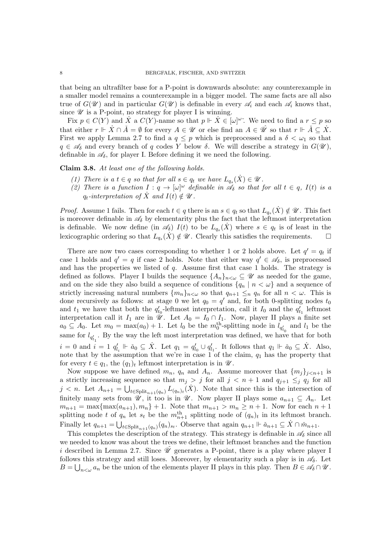that being an ultrafilter base for a P-point is downwards absolute: any counterexample in a smaller model remains a counterexample in a bigger model. The same facts are all also true of  $G(\mathscr{U})$  and in particular  $G(\mathscr{U})$  is definable in every  $\mathscr{A}_i$  and each  $\mathscr{A}_i$  knows that, since  $\mathscr U$  is a P-point, no strategy for player I is winning.

Fix  $p \in C(Y)$  and  $\dot{X}$  a  $C(Y)$ -name so that  $p \Vdash \dot{X} \in [\omega]^{\omega}$ . We need to find a  $r \leq p$  so that either  $r \Vdash \dot{X} \cap \check{A} = \emptyset$  for every  $A \in \mathscr{U}$  or else find an  $A \in \hat{\mathscr{U}}$  so that  $r \Vdash \check{A} \subseteq \dot{X}$ . First we apply Lemma 2.7 to find a  $q \leq p$  which is preprocessed and a  $\delta < \omega_1$  so that  $q \in \mathscr{A}_{\delta}$  and every branch of *q* codes *Y* below  $\delta$ . We will describe a strategy in  $G(\mathscr{U})$ , definable in  $\mathscr{A}_{\delta}$ , for player I. Before defining it we need the following.

Claim 3.8. *At least one of the following holds.*

- (1) *There is a*  $t \in q$  *so that for all*  $s \in q_t$  *we have*  $L_{q_s}(X) \in \mathcal{U}$ *.*
- (2) There is a function  $I: q \to [\omega]^\omega$  definable in  $\mathscr{A}_\delta$  so that for all  $t \in q$ ,  $I(t)$  is a  $q_t$ *-interpretation of*  $\hat{X}$  *and*  $I(t) \notin \mathcal{U}$ .

*Proof.* Assume 1 fails. Then for each  $t \in q$  there is an  $s \in q_t$  so that  $L_{q_s}(X) \notin \mathcal{U}$ . This fact is moreover definable in  $\mathscr{A}_{\delta}$  by elementarity plus the fact that the leftmost interpretation is definable. We now define (in  $\mathscr{A}_{\delta}$ )  $I(t)$  to be  $L_{q_s}(\tilde{X})$  where  $s \in q_t$  is of least in the lexicographic ordering so that  $L_q(\tilde{X}) \notin \mathscr{U}$ . Clearly this satisfies the requirements. lexicographic ordering so that  $L_{q_s}(\dot{X}) \notin \mathscr{U}$ . Clearly this satisfies the requirements.

There are now two cases corresponding to whether 1 or 2 holds above. Let  $q' = q_t$  if case 1 holds and  $q' = q$  if case 2 holds. Note that either way  $q' \in \mathscr{A}_{\delta}$ , is preprocessed and has the properties we listed of *q*. Assume first that case 1 holds. The strategy is defined as follows. Player I builds the sequence  $\{A_n\}_{n<\omega}\subseteq\mathscr{U}$  as needed for the game, and on the side they also build a sequence of conditions  ${q_n | n < \omega}$  and a sequence of strictly increasing natural numbers  $\{m_n\}_{n<\omega}$  so that  $q_{n+1} \leq_n q_n$  for all  $n < \omega$ . This is done recursively as follows: at stage 0 we let  $q_0 = q'$  and, for both 0-splitting nodes  $t_0$ and  $t_1$  we have that both the  $q'_{t_0}$ -leftmost interpretation, call it  $I_0$  and the  $q'_{t_1}$  leftmost interpretation call it  $I_1$  are in  $\mathscr{U}$ . Let  $A_0 = I_0 \cap I_1$ . Now, player II plays a finite set  $a_0 \subseteq A_0$ . Let  $m_0 = \max(a_0) + 1$ . Let  $l_0$  be the  $m_0^{\text{th}}$ -splitting node in  $l_{q'_{t_0}}$  and  $l_1$  be the same for  $l_{q'_{t_1}}$ . By the way the left most interpretation was defined, we have that for both  $i = 0$  and  $i = 1$   $q'_{l_i} \Vdash \check{a}_0 \subseteq \dot{X}$ . Let  $q_1 = q'_{l_0} \cup q'_{l_1}$ . It follows that  $q_1 \Vdash \check{a}_0 \subseteq \dot{X}$ . Also, note that by the assumption that we're in case 1 of the claim, *q*<sup>1</sup> has the property that for every  $t \in q_1$ , the  $(q_1)_t$  leftmost interpretation is in  $\mathscr{U}$ .

Now suppose we have defined  $m_n$ ,  $q_n$  and  $A_n$ . Assume moreover that  $\{m_i\}_{i \leq n+1}$  is a strictly increasing sequence so that  $m_j > j$  for all  $j < n + 1$  and  $q_{j+1} \leq_j q_j$  for all  $j < n$ . Let  $A_{n+1} = \bigcup_{t \in \text{Split}_{n+1}(q_n)} L_{(q_n)_t}(X)$ . Note that since this is the intersection of finitely many sets from  $\mathcal{U}$ , it too is in  $\mathcal{U}$ . Now player II plays some  $a_{n+1} \subseteq A_n$ . Let  $m_{n+1} = \max\{\max(a_{n+1}), m_n\} + 1$ . Note that  $m_{n+1} > m_n \geq n+1$ . Now for each  $n+1$ splitting node *t* of  $q_n$  let  $s_t$  be the  $m_{n+1}^{\text{th}}$  splitting node of  $(q_n)_t$  in its leftmost branch. Finally let  $q_{n+1} = \bigcup_{t \in \text{Split}_{n+1}(q_n)} (q_n)_{s_t}$ . Observe that again  $q_{n+1} \Vdash \check{a}_{n+1} \subseteq X \cap \check{m}_{n+1}$ .

This completes the description of the strategy. This strategy is definable in  $\mathscr{A}_{\delta}$  since all we needed to know was about the trees we define, their leftmost branches and the function *i* described in Lemma 2.7. Since  $\hat{\mathcal{U}}$  generates a P-point, there is a play where player I follows this strategy and still loses. Moreover, by elementarity such a play is in  $\mathscr{A}_{\delta}$ . Let  $B = \bigcup_{n < \omega} a_n$  be the union of the elements player II plays in this play. Then  $B \in \mathscr{A}_{\delta} \cap \mathscr{U}$ .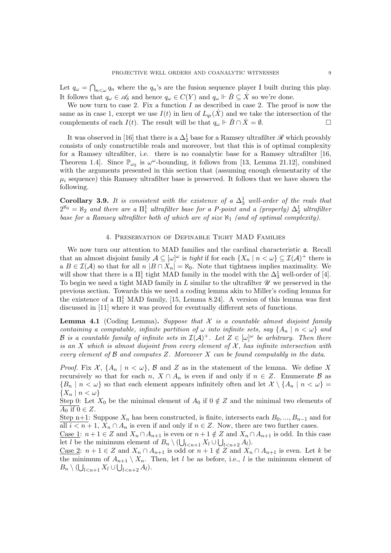Let  $q_{\omega} = \bigcap_{n < \omega} q_n$  where the  $q_n$ 's are the fusion sequence player I built during this play. It follows that  $q_\omega \in \mathscr{A}_\delta$  and hence  $q_\omega \in C(Y)$  and  $q_\omega \Vdash \check{B} \subseteq \dot{X}$  so we're done.

We now turn to case 2. Fix a function  $I$  as described in case 2. The proof is now the same as in case 1, except we use  $I(t)$  in lieu of  $L_{q_t}(\dot{X})$  and we take the intersection of the complements of each  $I(t)$ . The result will be that  $q_{\omega} \Vdash \check{B} \cap \check{X} = \emptyset$ .

It was observed in [16] that there is a  $\Delta_2^1$  base for a Ramsey ultrafilter  $\mathscr R$  which provably consists of only constructible reals and moreover, but that this is of optimal complexity for a Ramsey ultrafilter, i.e. there is no coanalytic base for a Ramsey ultrafilter [16, Theorem 1.4. Since  $\mathbb{P}_{\omega_2}$  is  $\omega^{\omega}$ -bounding, it follows from [13, Lemma 21.12], combined with the arguments presented in this section that (assuming enough elementarity of the  $\mu_i$  sequence) this Ramsey ultrafilter base is preserved. It follows that we have shown the following.

**Corollary 3.9.** It is consistent with the existence of a  $\Delta_3^1$  well-order of the reals that  $2^{\aleph_0} = \aleph_2$  and there are a  $\Pi_1^1$  *ultrafilter base for a P-point and a (properly)*  $\Delta_2^1$  *ultrafilter base for a Ramsey ultrafilter both of which are of size*  $\aleph_1$  *(and of optimal complexity).* 

#### 4. Preservation of Definable Tight MAD Families

We now turn our attention to MAD families and the cardinal characteristic a. Recall that an almost disjoint family  $A \subseteq [\omega]^\omega$  is *tight* if for each  $\{X_n \mid n < \omega\} \subseteq \mathcal{I}(\mathcal{A})^+$  there is a  $B \in \mathcal{I}(\mathcal{A})$  so that for all  $n | B \cap X_n| = \aleph_0$ . Note that tightness implies maximality. We will show that there is a  $\Pi^1_1$  tight MAD family in the model with the  $\Delta^1_3$  well-order of [4]. To begin we need a tight MAD family in  $L$  similar to the ultrafilter  $\mathscr U$  we preserved in the previous section. Towards this we need a coding lemma akin to Miller's coding lemma for the existence of a  $\Pi_1^1$  MAD family, [15, Lemma 8.24]. A version of this lemma was first discussed in [11] where it was proved for eventually different sets of functions.

Lemma 4.1 (Coding Lemma). *Suppose that X is a countable almost disjoint family containing a computable, infinite partition of*  $\omega$  *into infinite sets, say*  $\{A_n \mid n \lt \omega\}$  and *B* is a countable family of infinite sets in  $\mathcal{I}(\mathcal{A})^+$ . Let  $Z \in [\omega]^\omega$  be arbitrary. Then there *is an*  $X$  *which is almost disjoint from every element of*  $X$ *, has infinite intersection with every element of B and computes Z. Moreover X can be found computably in the data.*

*Proof.* Fix  $\mathcal{X}, \{A_n \mid n < \omega\}, \mathcal{B}$  and  $Z$  as in the statement of the lemma. We define X recursively so that for each *n*,  $X \cap A_n$  is even if and only if  $n \in Z$ . Enumerate  $\beta$  as  ${B_n \mid n < \omega}$  so that each element appears infinitely often and let  $X \setminus {A_n \mid n < \omega}$  $\{X_n \mid n < \omega\}$ 

Step 0: Let  $X_0$  be the minimal element of  $A_0$  if  $0 \notin Z$  and the minimal two elements of  $A_0$  if  $0 \in Z$ .

Step n+1: Suppose  $X_n$  has been constructed, is finite, intersects each  $B_0, ..., B_{n-1}$  and for all  $i < n+1$ ,  $X_n \cap A_n$  is even if and only if  $n \in \mathbb{Z}$ . Now, there are two further cases.

Case 1:  $n+1 \in Z$  and  $X_n \cap A_{n+1}$  is even or  $n+1 \notin Z$  and  $X_n \cap A_{n+1}$  is odd. In this case let *l* be the minimum element of  $B_n \setminus (\bigcup_{l \leq n+1} X_l \cup \bigcup_{l \leq n+2} A_l)$ .

Case 2:  $n + 1 \in Z$  and  $X_n \cap A_{n+1}$  is odd or  $n+1 \notin Z$  and  $X_n \cap A_{n+1}$  is even. Let *k* be the minimum of  $A_{n+1} \setminus X_n$ . Then, let *l* be as before, i.e., *l* is the minimum element of  $B_n \setminus (\bigcup_{l < n+1} X_l \cup \bigcup_{l < n+2} A_l).$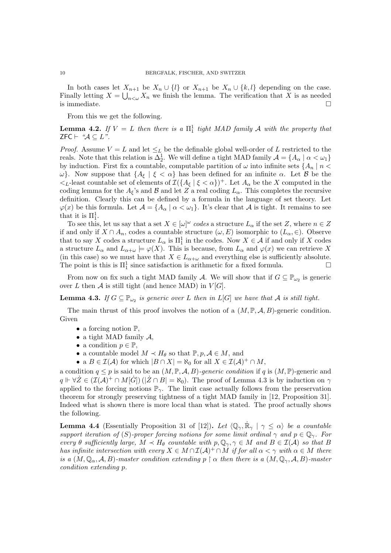In both cases let  $X_{n+1}$  be  $X_n \cup \{l\}$  or  $X_{n+1}$  be  $X_n \cup \{k, l\}$  depending on the case. Finally letting  $X = \bigcup_{n \leq \omega} X_n$  we finish the lemma. The verification that X is as needed is immediate.  $\Box$ 

From this we get the following.

**Lemma 4.2.** If  $V = L$  then there is a  $\Pi_1^1$  tight MAD family A with the property that  $ZFC \vdash \ \mathscr{A} \subseteq L$ ".

*Proof.* Assume  $V = L$  and let  $\leq_L$  be the definable global well-order of L restricted to the reals. Note that this relation is  $\Delta_2^1$ . We will define a tight MAD family  $\mathcal{A} = \{A_\alpha \mid \alpha < \omega_1\}$ by induction. First fix a countable, computable partition of  $\omega$  into infinite sets  ${A_n \mid n \lt \omega}$  $\omega$ . Now suppose that  $\{A_{\xi} \mid \xi < \alpha\}$  has been defined for an infinite  $\alpha$ . Let *B* be the  $\lt_L$ -least countable set of elements of  $\mathcal{I}(\lbrace A_{\xi} | \xi \leq \alpha \rbrace)^{+}$ . Let  $A_{\alpha}$  be the *X* computed in the coding lemma for the  $A_{\xi}$ 's and  $\beta$  and let  $Z$  a real coding  $L_{\alpha}$ . This completes the recursive definition. Clearly this can be defined by a formula in the language of set theory. Let  $\varphi(x)$  be this formula. Let  $\mathcal{A} = \{A_\alpha \mid \alpha < \omega_1\}$ . It's clear that  $\mathcal{A}$  is tight. It remains to see that it is  $\Pi_1^1$ .

To see this, let us say that a set  $X \in [\omega]^{\omega}$  codes a structure  $L_{\alpha}$  if the set *Z*, where  $n \in Z$ if and only if  $X \cap A_n$ , codes a countable structure  $(\omega, E)$  isomorphic to  $(L_\alpha, \in)$ . Observe that to say *X* codes a structure  $L_{\alpha}$  is  $\Pi_1^1$  in the codes. Now  $X \in \mathcal{A}$  if and only if *X* codes a structure  $L_{\alpha}$  and  $L_{\alpha+\omega} \models \varphi(X)$ . This is because, from  $L_{\alpha}$  and  $\varphi(x)$  we can retrieve X (in this case) so we must have that  $X \in L_{\alpha+\omega}$  and everything else is sufficiently absolute.<br>The point is this is  $\Pi^1$  since satisfaction is arithmetic for a fixed formula The point is this is  $\Pi_1^1$  since satisfaction is arithmetic for a fixed formula.  $\Box$ 

From now on fix such a tight MAD family *A*. We will show that if  $G \subseteq \mathbb{P}_{\omega_2}$  is generic over *L* then *A* is still tight (and hence MAD) in  $V[G]$ .

**Lemma 4.3.** If  $G \subseteq \mathbb{P}_{\omega_2}$  is generic over *L* then in  $L[G]$  we have that *A* is still tight.

The main thrust of this proof involves the notion of a  $(M, \mathbb{P}, \mathcal{A}, B)$ -generic condition. Given

- a forcing notion  $\mathbb{P}$ ,
- *•* a tight MAD family *A*,
- a condition  $p \in \mathbb{P}$ ,
- a countable model  $M \prec H_{\theta}$  so that  $\mathbb{P}, p, \mathcal{A} \in M$ , and
- a  $B \in \mathcal{I}(\mathcal{A})$  for which  $|B \cap X| = \aleph_0$  for all  $X \in \mathcal{I}(\mathcal{A})^+ \cap M$ ,

a condition  $q \leq p$  is said to be an  $(M, \mathbb{P}, \mathcal{A}, B)$ -generic condition if q is  $(M, \mathbb{P})$ -generic and  $q \Vdash \forall \dot{Z} \in (\mathcal{I}(\mathcal{A})^+ \cap M[\dot{G}])$  ( $|\dot{Z} \cap B| = \aleph_0$ ). The proof of Lemma 4.3 is by induction on  $\gamma$ applied to the forcing notions  $\mathbb{P}_{\gamma}$ . The limit case actually follows from the preservation theorem for strongly preserving tightness of a tight MAD family in [12, Proposition 31]. Indeed what is shown there is more local than what is stated. The proof actually shows the following.

**Lemma 4.4** (Essentially Proposition 31 of [12]). Let  $\langle \mathbb{Q}_{\gamma}, \mathbb{R}_{\gamma} | \gamma \leq \alpha \rangle$  be a countable *support iteration of* (*S*)*-proper forcing notions for some limit ordinal*  $\gamma$  and  $p \in \mathbb{Q}_{\gamma}$ . For *every*  $\theta$  *sufficiently large,*  $M \prec H_{\theta}$  *countable with*  $p, \mathbb{Q}_{\gamma}, \gamma \in M$  *and*  $B \in \mathcal{I}(\mathcal{A})$  *so that*  $B$ *has infinite intersection with every*  $X \in M \cap I(\mathcal{A})^+ \cap M$  *if for all*  $\alpha < \gamma$  *with*  $\alpha \in M$  *there is a*  $(M, \mathbb{Q}_\alpha, \mathcal{A}, B)$ *-master condition extending*  $p \restriction \alpha$  then there is a  $(M, \mathbb{Q}_\gamma, \mathcal{A}, B)$ *-master condition extending p.*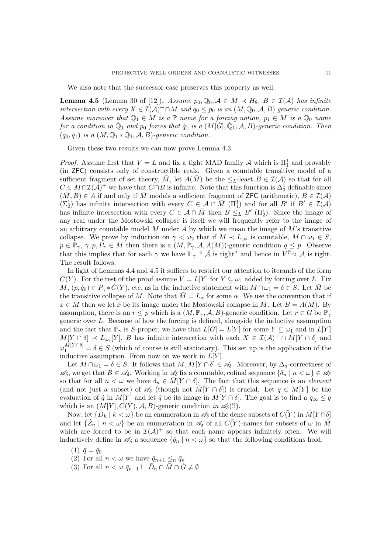We also note that the successor case preserves this property as well.

**Lemma 4.5** (Lemma 30 of [12]). Assume  $p_0, Q_0, A \in M \prec H_\theta, B \in \mathcal{I}(A)$  has infinite *intersection with every*  $X \in \mathcal{I}(\mathcal{A})^+ \cap M$  *and*  $q_0 \leq p_0$  *is an*  $(M, \mathbb{Q}_0, \mathcal{A}, B)$  *generic condition. Assume moreover that*  $\mathbb{Q}_1 \in M$  *is a*  $\mathbb{P}$  *name for a forcing notion,*  $p_1 \in M$  *is a*  $\mathbb{Q}_0$  *name for a condition in*  $\dot{\mathbb{Q}}_1$  *and*  $p_0$  *forces that*  $\dot{q}_1$  *is a*  $(M[\dot{G}], \dot{\mathbb{Q}}_1, \mathcal{A}, B)$ *-generic condition. Then*  $(q_0, \dot{q}_1)$  *is a*  $(M, \mathbb{Q}_1 * \mathbb{Q}_1, \mathcal{A}, B)$ -generic condition.

Given these two results we can now prove Lemma 4.3.

*Proof.* Assume first that  $V = L$  and fix a tight MAD family *A* which is  $\Pi_1^1$  and provably (in ZFC) consists only of constructible reals. Given a countable transitive model of a sufficient fragment of set theory,  $\overline{M}$ , let  $A(\overline{M})$  be the  $\leq_L$ -least  $B \in \mathcal{I}(\mathcal{A})$  so that for all  $C \in \overline{M} \cap \mathcal{I}(\mathcal{A})^+$  we have that  $C \cap B$  is infinite. Note that this function is  $\Delta_3^1$  definable since  $(M, B) \in A$  if and only if M models a sufficient fragment of **ZFC** (arithmetic),  $B \in \mathcal{I}(A)$  $(\Sigma_2^1)$  has infinite intersection with every  $C \in \mathcal{A} \cap \overline{M}$  ( $\Pi_1^1$ ) and for all  $B'$  if  $B' \in \mathcal{I}(\mathcal{A})$ has infinite intersection with every  $C \in \mathcal{A} \cap \bar{M}$  then  $B \leq_L B' (\Pi_2^1)$ . Since the image of any real under the Mostowski collapse is itself we will frequently refer to the image of an arbitrary countable model *M* under *A* by which we mean the image of *M*'s transitive collapse. We prove by induction on  $\gamma < \omega_2$  that if  $M \prec L_{\omega_2}$  is countable,  $M \cap \omega_1 \in S$ ,  $p \in \mathbb{P}_{\gamma}, \gamma, p, P_{\gamma} \in M$  then there is a  $(M, \mathbb{P}_{\gamma}, \mathcal{A}, A(M))$ -generic condition  $q \leq p$ . Observe that this implies that for each  $\gamma$  we have  $\Vdash_{\gamma}$  "  $\check{\mathcal{A}}$  is tight" and hence in  $V^{\mathbb{P}_{\omega_2}}$   $\mathcal{A}$  is tight. The result follows.

In light of Lemmas 4.4 and 4.5 it suffices to restrict our attention to iterands of the form *C*(*Y*). For the rest of the proof assume  $V = L[Y]$  for  $Y \subseteq \omega_1$  added by forcing over *L*. Fix  $M, (p, \dot{q}_0) \in P_\gamma * C(Y)$ , etc. as in the inductive statement with  $M \cap \omega_1 = \delta \in S$ . Let  $\bar{M}$  be the transitive collapse of *M*. Note that  $\overline{M} = L_{\alpha}$  for some  $\alpha$ . We use the convention that if  $x \in M$  then we let  $\bar{x}$  be its image under the Mostowski collapse in  $\bar{M}$ . Let  $B = A(\bar{M})$ . By assumption, there is an  $r \leq p$  which is a  $(M, \mathbb{P}_{\gamma}, \mathcal{A}, B)$ -generic condition. Let  $r \in G$  be  $\mathbb{P}_{\gamma}$ generic over *L*. Because of how the forcing is defined, alongside the inductive assumption and the fact that  $\mathbb{P}_{\gamma}$  is *S*-proper, we have that  $L[G] = L[Y]$  for some  $Y \subseteq \omega_1$  and in  $L[Y]$  $\overline{M}[Y \cap \delta] \prec L_{\omega_2}[Y], B$  has infinite intersection with each  $X \in \mathcal{I}(\mathcal{A})^+ \cap \overline{M}[Y \cap \delta]$  and  $\omega_1^{\tilde{M}[Y \cap \delta]} = \delta \in S$  (which of course is still stationary). This set up is the application of the inductive assumption. From now on we work in  $L[Y]$ .

Let  $M \cap \omega_1 = \delta \in S$ . It follows that  $\overline{M}, \overline{M}[Y \cap \delta] \in \mathscr{A}_{\delta}$ . Moreover, by  $\Delta_3^1$ -correctness of  $\mathscr{A}_{\delta}$ , we get that  $B \in \mathscr{A}_{\delta}$ . Working in  $\mathscr{A}_{\delta}$  fix a countable, cofinal sequence  $\{\delta_n \mid n < \omega\} \in \mathscr{A}_{\delta}$ so that for all  $n < \omega$  we have  $\delta_n \in M[Y \cap \delta]$ . The fact that this sequence is an *element* (and not just a subset) of  $\mathscr{A}_{\delta}$  (though not  $\overline{M}[Y \cap \delta]$ ) is crucial. Let  $q \in M[Y]$  be the evaluation of  $\dot{q}$  in  $M[Y]$  and let  $\bar{q}$  be its image in  $\bar{M}[Y \cap \delta]$ . The goal is to find a  $q_{\infty} \leq q$ which is an  $(M[Y], C(Y), \mathcal{A}, B)$ -generic condition *in*  $\mathscr{A}_{\delta}$ (!!).

Now, let  $\{D_k \mid k < \omega\}$  be an enumeration in  $\mathscr{A}_{\delta}$  of the dense subsets of  $C(Y)$  in  $M[Y \cap \delta]$ and let  $\{\dot{Z}_n \mid n < \omega\}$  be an enumeration in  $\mathscr{A}_{\delta}$  of all  $C(\overline{Y})$ -names for subsets of  $\omega$  in  $\overline{M}$ which are forced to be in  $\mathcal{I}(\mathcal{A})^+$  so that each name appears infinitely often. We will inductively define in  $\mathscr{A}_{\delta}$  a sequence  $\{\bar{q}_n \mid n < \omega\}$  so that the following conditions hold:

- $(1) \ \bar{q} = \bar{q}_0$
- (2) For all  $n < \omega$  we have  $\bar{q}_{n+1} \leq_n \bar{q}_n$
- (3) For all  $n < \omega \bar{q}_{n+1} \Vdash \bar{D}_n \cap \bar{M} \cap \dot{G} \neq \emptyset$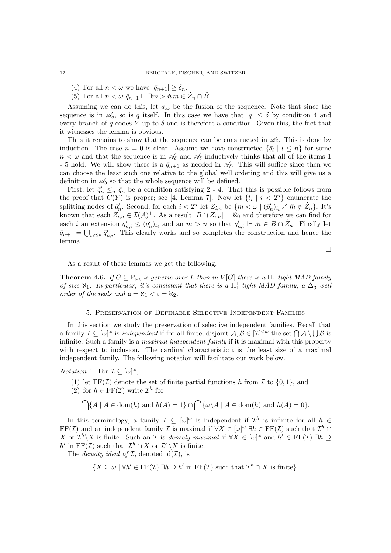- (4) For all  $n < \omega$  we have  $|\bar{q}_{n+1}| \geq \delta_n$ .
- (5) For all  $n < \omega \bar{q}_{n+1} \Vdash \exists m > n \ m \in \dot{Z}_n \cap \check{B}$

Assuming we can do this, let  $q_{\infty}$  be the fusion of the sequence. Note that since the sequence is in  $\mathscr{A}_{\delta}$ , so is *q* itself. In this case we have that  $|q| \leq \delta$  by condition 4 and every branch of *q* codes *Y* up to  $\delta$  and is therefore a condition. Given this, the fact that it witnesses the lemma is obvious.

Thus it remains to show that the sequence can be constructed in  $\mathscr{A}_{\delta}$ . This is done by induction. The case  $n = 0$  is clear. Assume we have constructed  $\{\bar{q}_l \mid l \leq n\}$  for some  $n < \omega$  and that the sequence is in  $\mathscr{A}_{\delta}$  and  $\mathscr{A}_{\delta}$  inductively thinks that all of the items 1 - 5 hold. We will show there is a  $\bar{q}_{n+1}$  as needed in  $\mathscr{A}_{\delta}$ . This will suffice since then we can choose the least such one relative to the global well ordering and this will give us a definition in  $\mathscr{A}_{\delta}$  so that the whole sequence will be defined.

First, let  $\bar{q}'_n \leq_{\bar{n}} \bar{q}_n$  be a condition satisfying 2 - 4. That this is possible follows from the proof that  $C(Y)$  is proper; see [4, Lemma 7]. Now let  $\{t_i \mid i < 2^n\}$  enumerate the splitting nodes of  $\bar{q}'_n$ . Second, for each  $i < 2^n$  let  $Z_{i,n}$  be  $\{m < \omega \mid (\bar{p}'_n)_{t_i} \nVdash \tilde{m} \notin \tilde{Z}_n\}$ . It's known that each  $Z_{i,n} \in \mathcal{I}(\mathcal{A})^+$ . As a result  $|B \cap Z_{i,n}| = \aleph_0$  and therefore we can find for each *i* an extension  $\bar{q}'_{n,i} \leq (\bar{q}'_n)_{t_i}$  and an  $m > n$  so that  $\bar{q}'_{n,i} \Vdash \tilde{m} \in \tilde{B} \cap \tilde{Z}_n$ . Finally let  $\bar{q}_{n+1} = \bigcup_{i \leq 2^n} \bar{q}'_{n,i}$ . This clearly works and so completes the construction and hence the lemma.

 $\Box$ 

As a result of these lemmas we get the following.

**Theorem 4.6.** *If*  $G \subseteq \mathbb{P}_{\omega_2}$  *is generic over L then in*  $V[G]$  *there is a*  $\Pi_1^1$  *tight MAD family of size*  $\aleph_1$ *. In particular, it's consistent that there is a*  $\Pi_1^1$ -tight MAD family, a  $\Delta_3^1$  well *order of the reals and*  $\mathfrak{a} = \aleph_1 < \mathfrak{c} = \aleph_2$ *.* 

#### 5. Preservation of Definable Selective Independent Families

In this section we study the preservation of selective independent families. Recall that a family  $\mathcal{I} \subseteq [\omega]^{\omega}$  is *independent* if for all finite, disjoint  $\mathcal{A}, \mathcal{B} \in [\mathcal{I}]^{<\omega}$  the set  $\bigcap \mathcal{A} \setminus \bigcup \mathcal{B}$  is infinite. Such a family is a *maximal independent family* if it is maximal with this property with respect to inclusion. The cardinal characteristic i is the least size of a maximal independent family. The following notation will facilitate our work below.

*Notation* 1. For  $\mathcal{I} \subseteq [\omega]^\omega$ ,

- (1) let  $\text{FF}(\mathcal{I})$  denote the set of finite partial functions *h* from  $\mathcal{I}$  to  $\{0, 1\}$ , and
- (2) for  $h \in \mathrm{FF}(\mathcal{I})$  write  $\mathcal{I}^h$  for

$$
\bigcap \{ A \mid A \in \text{dom}(h) \text{ and } h(A) = 1 \} \cap \bigcap \{ \omega \setminus A \mid A \in \text{dom}(h) \text{ and } h(A) = 0 \}.
$$

In this terminology, a family  $\mathcal{I} \subseteq [\omega]^\omega$  is independent if  $\mathcal{I}^h$  is infinite for all  $h \in \mathcal{I}$  $\text{FF}(\mathcal{I})$  and an independent family  $\mathcal{I}$  is maximal if  $\forall X \in [\omega]^\omega \exists h \in \text{FF}(\mathcal{I})$  such that  $\mathcal{I}^h \cap$ *X* or  $\mathcal{I}^h\ X$  is finite. Such an *I* is *densely maximal* if  $\forall X \in [\omega]^\omega$  and  $h' \in \mathrm{FF}(\mathcal{I}) \exists h \supseteq$  $h'$  in FF(*I*) such that  $\mathcal{I}^h \cap X$  or  $\mathcal{I}^h \setminus X$  is finite.

The *density ideal of*  $I$ , denoted id $(I)$ , is

 ${X \subseteq \omega \mid \forall h' \in \text{FF}(\mathcal{I}) \exists h \supseteq h' \text{ in } \text{FF}(\mathcal{I}) \text{ such that } \mathcal{I}^h \cap X \text{ is finite}}.$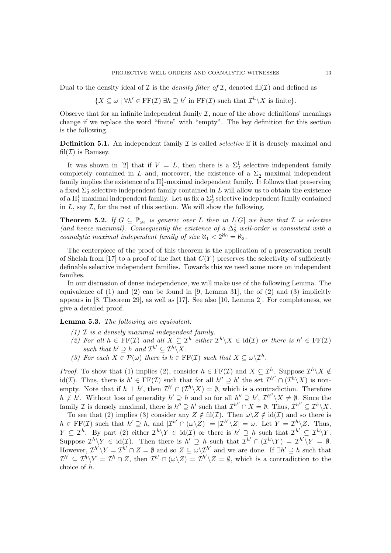Dual to the density ideal of  $I$  is the *density filter of*  $I$ , denoted fil( $I$ ) and defined as

 ${X \subseteq \omega \mid \forall h' \in \text{FF}(\mathcal{I}) \exists h \supseteq h' \text{ in } \text{FF}(\mathcal{I}) \text{ such that } \mathcal{I}^h \setminus X \text{ is finite}}.$ 

Observe that for an infinite independent family  $\mathcal{I}$ , none of the above definitions' meanings change if we replace the word "finite" with "empty". The key definition for this section is the following.

Definition 5.1. An independent family *I* is called *selective* if it is densely maximal and fil $(\mathcal{I})$  is Ramsey.

It was shown in [2] that if  $V = L$ , then there is a  $\Sigma_2^1$  selective independent family completely contained in *L* and, moreover, the existence of a  $\Sigma_2^1$  maximal independent family implies the existence of a  $\Pi^1_1$ -maximal independent family. It follows that preserving a fixed  $\Sigma_2^1$  selective independent family contained in *L* will allow us to obtain the existence of a  $\Pi_1^1$  maximal independent family. Let us fix a  $\Sigma_2^1$  selective independent family contained in  $L$ , say  $\mathcal I$ , for the rest of this section. We will show the following.

**Theorem 5.2.** If  $G \subseteq \mathbb{P}_{\omega_2}$  is generic over *L* then in  $L[G]$  we have that *I* is selective (and hence maximal). Consequently the existence of  $a \Delta_3^1$  well-order is consistent with a *coanalytic maximal independent family of size*  $\aleph_1 < 2^{\aleph_0} = \aleph_2$ .

The centerpiece of the proof of this theorem is the application of a preservation result of Shelah from [17] to a proof of the fact that  $C(Y)$  preserves the selectivity of sufficiently definable selective independent families. Towards this we need some more on independent families.

In our discussion of dense independence, we will make use of the following Lemma. The equivalence of  $(1)$  and  $(2)$  can be found in [9, Lemma 31], the of  $(2)$  and  $(3)$  implicitly appears in  $[8,$  Theorem 29, as well as  $[17]$ . See also  $[10,$  Lemma 2. For completeness, we give a detailed proof.

Lemma 5.3. *The following are equivalent:*

- *(1) I is a densely maximal independent family.*
- *(2)* For all  $h \in \text{FF}(\mathcal{I})$  and all  $X \subseteq \mathcal{I}^h$  either  $\mathcal{I}^h \setminus X \in \text{id}(\mathcal{I})$  or there is  $h' \in \text{FF}(\mathcal{I})$ *such that*  $h' \supseteq h$  *and*  $\mathcal{I}^{h'} \subseteq \mathcal{I}^h \setminus X$ *.*
- *(3)* For each  $X \in \mathcal{P}(\omega)$  there is  $h \in \text{FF}(\mathcal{I})$  such that  $X \subseteq \omega \setminus \mathcal{I}^h$ .

*Proof.* To show that (1) implies (2), consider  $h \in \text{FF}(\mathcal{I})$  and  $X \subseteq \mathcal{I}^h$ . Suppose  $\mathcal{I}^h \setminus X \notin$ id(*I*). Thus, there is  $h' \in \mathrm{FF}(\mathcal{I})$  such that for all  $h'' \supseteq h'$  the set  $\mathcal{I}^{h''} \cap (\mathcal{I}^h \setminus X)$  is nonempty. Note that if  $h \perp h'$ , then  $\mathcal{I}^{h'} \cap (\mathcal{I}^h \setminus X) = \emptyset$ , which is a contradiction. Therefore  $h \not\perp h'$ . Without loss of generality  $h' \supseteq h$  and so for all  $h'' \supseteq h'$ ,  $\mathcal{I}^{h''} \setminus X \neq \emptyset$ . Since the family *I* is densely maximal, there is  $h'' \supseteq h'$  such that  $\mathcal{I}^{h''} \cap X = \emptyset$ . Thus,  $\mathcal{I}^{h''} \subseteq \mathcal{I}^h \setminus X$ .

To see that (2) implies (3) consider any  $Z \notin \text{fil}(\mathcal{I})$ . Then  $\omega \setminus Z \notin \text{id}(\mathcal{I})$  and so there is  $h \in \mathrm{FF}(\mathcal{I})$  such that  $h' \supseteq h$ , and  $|\mathcal{I}^{h'} \cap (\omega \setminus Z)| = |\mathcal{I}^{h'} \setminus Z| = \omega$ . Let  $Y = \mathcal{I}^h \setminus Z$ . Thus,  $Y \subseteq \mathcal{I}^h$ . By part (2) either  $\mathcal{I}^h \backslash Y \in \text{id}(\mathcal{I})$  or there is  $h' \supseteq_h h$  such that  $\mathcal{I}^{h'} \subseteq \mathcal{I}^h \backslash Y$ . Suppose  $\mathcal{I}^h\ Y \in id(\mathcal{I})$ . Then there is  $h' \supseteq h$  such that  $\mathcal{I}^{h'} \cap (\mathcal{I}^h\ Y) = \mathcal{I}^{h'}\ Y = \emptyset$ . However,  $\mathcal{I}^{h'} \backslash Y = \mathcal{I}^{h'} \cap Z = \emptyset$  and so  $Z \subseteq \omega \backslash \mathcal{I}^{h'}$  and we are done. If  $\exists h' \supseteq h$  such that  $\mathcal{I}^{h'} \subseteq \mathcal{I}^h \backslash Y = \mathcal{I}^h \cap Z$ , then  $\mathcal{I}^{h'} \cap (\omega \backslash Z) = \mathcal{I}^{h'} \backslash Z = \emptyset$ , which is a contradiction to the choice of *h*.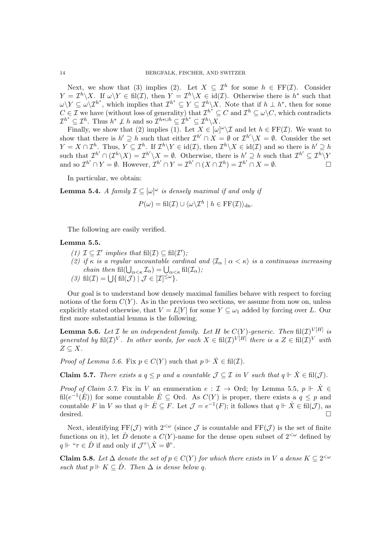Next, we show that (3) implies (2). Let  $X \subseteq \mathcal{I}^h$  for some  $h \in \mathrm{FF}(\mathcal{I})$ . Consider  $Y = \mathcal{I}^h \setminus X$ . If  $\omega \setminus Y \in \text{fil}(\mathcal{I})$ , then  $Y = \mathcal{I}^h \setminus X \in \text{id}(\mathcal{I})$ . Otherwise there is  $h^*$  such that  $\omega \setminus Y \subseteq \omega \setminus \mathcal{I}^{h^*}$ , which implies that  $\mathcal{I}^{h^*} \subseteq Y \subseteq \mathcal{I}^h \setminus X$ . Note that if  $h \perp h^*$ , then for some *C* ∈ *I* we have (without loss of generality) that  $\mathcal{I}^{h^*} \subseteq C$  and  $\mathcal{I}^h \subseteq \omega \backslash C$ , which contradicts  $\mathcal{I}^{h^*} \subseteq \mathcal{I}^h$ . Thus  $h^* \not\perp h$  and so  $\mathcal{I}^{h* \cup h} \subseteq \mathcal{I}^{h^*} \subseteq \mathcal{I}^h \setminus X$ .

Finally, we show that (2) implies (1). Let  $X \in [\omega]^\omega \backslash \mathcal{I}$  and let  $h \in \mathrm{FF}(\mathcal{I})$ . We want to show that there is  $h' \supseteq h$  such that either  $\mathcal{I}^{h'} \cap X = \emptyset$  or  $\mathcal{I}^{h'} \setminus X = \emptyset$ . Consider the set  $Y = X \cap \mathcal{I}^h$ . Thus,  $Y \subseteq \mathcal{I}^h$ . If  $\mathcal{I}^h \backslash Y \in id(\mathcal{I})$ , then  $\mathcal{I}^h \backslash X \in id(\mathcal{I})$  and so there is  $h' \supseteq h$ such that  $\mathcal{I}^{h'} \cap (\mathcal{I}^h \setminus X) = \mathcal{I}^{h'} \setminus X = \emptyset$ . Otherwise, there is  $h' \supseteq h$  such that  $\mathcal{I}^{h'} \subseteq \mathcal{I}^h \setminus Y$ and so  $\mathcal{I}^{h'} \cap Y = \emptyset$ . However,  $\mathcal{I}^{h'} \cap Y = \mathcal{I}^{h'} \cap (X \cap \mathcal{I}^h) = \mathcal{I}^{h'} \cap X = \emptyset$ .

In particular, we obtain:

**Lemma 5.4.** *A family*  $\mathcal{I} \subseteq [\omega]^\omega$  *is densely maximal if and only if* 

$$
P(\omega) = \operatorname{fil}(\mathcal{I}) \cup \langle \omega \rangle \mathcal{I}^h \mid h \in \operatorname{FF}(\mathcal{I}) \rangle_{\text{dn}}.
$$

The following are easily verified.

## Lemma 5.5.

- $(1)$   $\mathcal{I} \subseteq \mathcal{I}'$  *implies that*  $\mathrm{fil}(\mathcal{I}) \subseteq \mathrm{fil}(\mathcal{I}'),$
- *(2) if*  $\kappa$  *is a regular uncountable cardinal and*  $\langle \mathcal{I}_{\alpha} | \alpha \langle \kappa \rangle$  *is a continuous increasing chain then*  $\text{fil}(\bigcup_{\alpha<\kappa}\mathcal{I}_{\alpha})=\bigcup_{\alpha<\kappa}\text{fil}(\mathcal{I}_{\alpha})$ *;*
- *(3)*  $\text{fil}(\mathcal{I}) = \bigcup \{ \text{fil}(\mathcal{J}) \mid \mathcal{J} \in [\mathcal{I}]^{\leq \omega} \}.$

Our goal is to understand how densely maximal families behave with respect to forcing notions of the form  $C(Y)$ . As in the previous two sections, we assume from now on, unless explicitly stated otherwise, that  $V = L[Y]$  for some  $Y \subseteq \omega_1$  added by forcing over *L*. Our first more substantial lemma is the following.

**Lemma 5.6.** Let  $I$  be an independent family. Let  $H$  be  $C(Y)$ -generic. Then  $\text{fil}(\mathcal{I})^{V[H]}$  is *generated by*  $\text{fil}(\mathcal{I})^V$ *. In other words, for each*  $X \in \text{fil}(\mathcal{I})^{V[H]}$  *there is a*  $Z \in \text{fil}(\mathcal{I})^V$  *with*  $Z \subseteq X$ .

*Proof of Lemma 5.6.* Fix  $p \in C(Y)$  such that  $p \Vdash \dot{X} \in \text{fil}(\mathcal{I})$ .

**Claim 5.7.** *There exists a*  $q \leq p$  *and a countable*  $\mathcal{J} \subseteq \mathcal{I}$  *in*  $V$  *such that*  $q \Vdash \dot{X} \in \text{fil}(\mathcal{J})$ *.* 

*Proof of Claim 5.7.* Fix in *V* an enumeration  $e: \mathcal{I} \to \text{Ord}$ ; by Lemma 5.5,  $p \Vdash \dot{X} \in$ fil $(e^{-1}(E))$  for some countable  $E \subseteq$  Ord. As  $C(Y)$  is proper, there exists a  $q \leq p$  and countable *F* in *V* so that  $q \Vdash \dot{E} \subseteq F$ . Let  $\mathcal{J} = e^{-1}(F)$ ; it follows that  $q \Vdash \dot{X} \in \text{fil}(\mathcal{J})$ , as desired. desired.  $\Box$ 

Next, identifying  $FF(\mathcal{J})$  with  $2^{<\omega}$  (since  $\mathcal{J}$  is countable and  $FF(\mathcal{J})$  is the set of finite functions on it), let  $\dot{D}$  denote a  $C(Y)$ -name for the dense open subset of  $2^{<\omega}$  defined by  $q \Vdash \text{``}\tau \in \dot{D}$  if and only if  $\mathcal{J}^{\tau} \backslash \dot{X} = \emptyset$ ".

**Claim 5.8.** Let  $\Delta$  denote the set of  $p \in C(Y)$  for which there exists in V a dense  $K \subseteq 2^{< \omega}$ *such that*  $p \Vdash K \subseteq \dot{D}$ *. Then*  $\Delta$  *is dense below q.*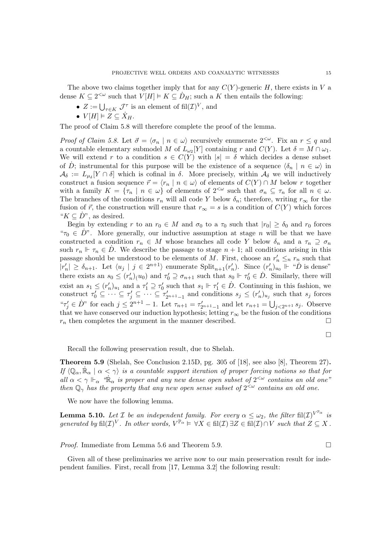The above two claims together imply that for any  $C(Y)$ -generic *H*, there exists in *V* a dense  $K \subseteq 2^{<\omega}$  such that  $V[H] \models K \subseteq D_H$ ; such a *K* then entails the following:

- $Z := \bigcup_{\tau \in K} \mathcal{J}^{\tau}$  is an element of fil $(\mathcal{I})^V$ , and
- $V[H] \models Z \subseteq X_H$ .

The proof of Claim 5.8 will therefore complete the proof of the lemma.

*Proof of Claim 5.8.* Let  $\vec{\sigma} = \langle \sigma_n | n \in \omega \rangle$  recursively enumerate  $2^{<\omega}$ . Fix an  $r \leq q$  and a countable elementary submodel *M* of  $L_{\omega_2}[Y]$  containing *r* and  $C(Y)$ . Let  $\delta = M \cap \omega_1$ . We will extend r to a condition  $s \in C(Y)$  with  $|s| = \delta$  which decides a dense subset of *D*; instrumental for this purpose will be the existence of a sequence  $\langle \delta_n | n \in \omega \rangle$  in  $\mathcal{A}_{\delta} := L_{\mu_{\delta}}[Y \cap \delta]$  which is cofinal in  $\delta$ . More precisely, within  $\mathcal{A}_{\delta}$  we will inductively construct a fusion sequence  $\vec{r} = \langle r_n | n \in \omega \rangle$  of elements of  $C(Y) \cap M$  below *r* together with a family  $K = {\tau_n | n \in \omega}$  of elements of  $2^{<\omega}$  such that  $\sigma_n \subseteq \tau_n$  for all  $n \in \omega$ . The branches of the conditions  $r_n$  will all code Y below  $\delta_n$ ; therefore, writing  $r_{\infty}$  for the fusion of  $\vec{r}$ , the construction will ensure that  $r_{\infty} = s$  is a condition of  $C(Y)$  which forces " $K \subseteq D$ ", as desired.

Begin by extending *r* to an  $r_0 \in M$  and  $\sigma_0$  to a  $\tau_0$  such that  $|r_0| \geq \delta_0$  and  $r_0$  forces " $\tau_0 \in \dot{D}$ ". More generally, our inductive assumption at stage *n* will be that we have constructed a condition  $r_n \in M$  whose branches all code *Y* below  $\delta_n$  and a  $\tau_n \supseteq \sigma_n$ such  $r_n \Vdash \tau_n \in D$ . We describe the passage to stage  $n + 1$ ; all conditions arising in this passage should be understood to be elements of *M*. First, choose an  $r'_n \leq_n r_n$  such that  $|r'_n| \geq \delta_{n+1}$ . Let  $\langle u_j | j \in 2^{n+1} \rangle$  enumerate  $\text{Split}_{n+1}(r'_n)$ . Since  $(r'_n)_{u_0} \Vdash \text{``} \dot{D}$  is dense" there exists an  $s_0 \le (r'_n)(u_0)$  and  $\tau'_0 \supseteq \sigma_{n+1}$  such that  $s_0 \Vdash \tau'_0 \in D$ . Similarly, there will exist an  $s_1 \leq (r'_n)_{u_1}$  and a  $\tau'_1 \supseteq \tau'_0$  such that  $s_1 \Vdash \tau'_1 \in \dot{D}$ . Continuing in this fashion, we construct  $\tau'_0 \subseteq \cdots \subseteq \tau'_j \subseteq \cdots \subseteq \tau'_{2^{n+1}-1}$  and conditions  $s_j \subseteq (r'_n)_{u_j}$  such that  $s_j$  forces  ${}^{\alpha}T'_{j} \in D^{n}$  for each  $j \leq 2^{n+1} - 1$ . Let  $\tau_{n+1} = \tau'_{2^{n+1}-1}$  and let  $r_{n+1} = \bigcup_{j < 2^{n+1}} s_j$ . Observe that we have conserved our induction hypothesis; letting  $r_{\infty}$  be the fusion of the conditions  $r_n$  then completes the argument in the manner described.  $r_n$  then completes the argument in the manner described.

 $\Box$ 

Recall the following preservation result, due to Shelah.

Theorem 5.9 (Shelah, See Conclusion 2.15D, pg. 305 of [18], see also [8], Theorem 27). *If*  $\langle \mathbb{Q}_{\alpha}, \dot{\mathbb{R}}_{\alpha} | \alpha \langle \gamma \rangle$  *is a countable support iteration of proper forcing notions so that for all*  $\alpha < \gamma \Vdash_{\alpha}$  " $\mathbb{R}_{\alpha}$  *is proper and any new dense open subset of*  $2^{<\omega}$  *contains an old one*" *then*  $\mathbb{Q}_\gamma$  has the property that any new open sense subset of  $2^{&\omega}$  contains an old one.

We now have the following lemma.

**Lemma 5.10.** Let *I* be an independent family. For every  $\alpha \leq \omega_2$ , the filter fil(*I*)<sup>*V* $\mathbb{P}^{\alpha}$ </sup> is *generated by*  $\mathrm{fil}(\mathcal{I})^V$ *. In other words,*  $V^{\mathbb{P}_\alpha} \models \forall X \in \mathrm{fil}(\mathcal{I}) \exists Z \in \mathrm{fil}(\mathcal{I}) \cap V$  such that  $Z \subseteq X$ .

*Proof.* Immediate from Lemma 5.6 and Theorem 5.9.  $\Box$ 

Given all of these preliminaries we arrive now to our main preservation result for independent families. First, recall from [17, Lemma 3.2] the following result: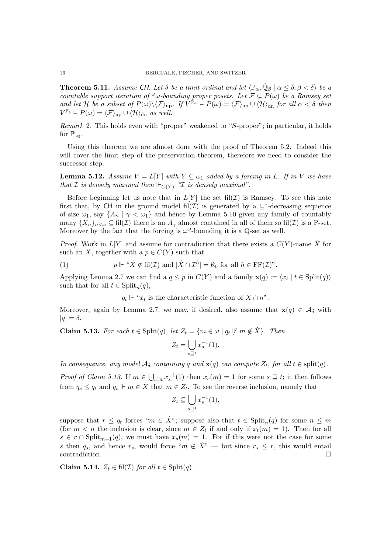**Theorem 5.11.** Assume CH. Let  $\delta$  be a limit ordinal and let  $\langle \mathbb{P}_{\alpha}, \dot{\mathbb{Q}}_{\beta} | \alpha \leq \delta, \beta < \delta \rangle$  be a *countable support iteration of*  $\omega$ -bounding proper posets. Let  $\mathcal{F} \subseteq P(\omega)$  be a Ramsey set *and let H be a subset of*  $P(\omega)\langle F\rangle_{\text{up}}$ *. If*  $V^{\mathbb{P}_{\alpha}} \models P(\omega) = \langle F\rangle_{\text{up}} \cup \langle H\rangle_{\text{dn}}$  for all  $\alpha < \delta$  then  $V^{\mathbb{P}_{\delta}} \models P(\omega) = \langle \mathcal{F} \rangle_{\text{up}} \cup \langle \mathcal{H} \rangle_{\text{dn}}$  *as well.* 

*Remark* 2*.* This holds even with "proper" weakened to "*S*-proper"; in particular, it holds for  $\mathbb{P}_{\omega_2}$ .

Using this theorem we are almost done with the proof of Theorem 5.2. Indeed this will cover the limit step of the preservation theorem, therefore we need to consider the successor step.

**Lemma 5.12.** Assume  $V = L[Y]$  with  $Y \subseteq \omega_1$  added by a forcing in L. If in V we have *that*  $I$  *is densely maximal then*  $\Vdash_{C(Y)}$  *"* $\check{I}$  *is densely maximal".* 

Before beginning let us note that in  $L[Y]$  the set fil $(\mathcal{I})$  is Ramsey. To see this note first that, by CH in the ground model fil $(\mathcal{I})$  is generated by a  $\subseteq^*$ -decreasing sequence of size  $\omega_1$ , say  $\{A_\gamma \mid \gamma < \omega_1\}$  and hence by Lemma 5.10 given any family of countably many  $\{X_n\}_{n\leq\omega}\subseteq\text{fil}(\mathcal{I})$  there is an  $A_\gamma$  almost contained in all of them so fil $(\mathcal{I})$  is a P-set. Moreover by the fact that the forcing is  $\omega^{\omega}$ -bounding it is a Q-set as well.

*Proof.* Work in  $L[Y]$  and assume for contradiction that there exists a  $C(Y)$ -name X for such an *X*, together with a  $p \in C(Y)$  such that

(1) 
$$
p \Vdash "\dot{X} \notin \text{fil}(\mathcal{I}) \text{ and } |\dot{X} \cap \mathcal{I}^h| = \aleph_0 \text{ for all } h \in \text{FF}(\mathcal{I})".
$$

Applying Lemma 2.7 we can find a  $q \leq p$  in  $C(Y)$  and a family  $\mathbf{x}(q) := \langle x_t | t \in \text{Split}(q) \rangle$ such that for all  $t \in Split_n(q)$ ,

 $q_t \Vdash "x_t$  is the characteristic function of  $\dot{X} \cap n$ ".

Moreover, again by Lemma 2.7, we may, if desired, also assume that  $\mathbf{x}(q) \in \mathcal{A}_{\delta}$  with  $|q| = \delta$ .

**Claim 5.13.** For each  $t \in Split(q)$ , let  $Z_t = \{m \in \omega \mid q_t \not\vdash m \notin \dot{X}\}\$ . Then

$$
Z_t = \bigcup_{s \supseteq t} x_s^{-1}(1).
$$

*In consequence, any model*  $\mathcal{A}_{\delta}$  *containing q and*  $\mathbf{x}(q)$  *can compute*  $Z_t$ *, for all*  $t \in \text{split}(q)$ *.* 

*Proof of Claim 5.13.* If  $m \in \bigcup_{s \supseteq t} x_s^{-1}(1)$  then  $x_s(m) = 1$  for some  $s \supseteq t$ ; it then follows from  $q_s \leq q_t$  and  $q_s \Vdash m \in \dot{X}$  that  $m \in Z_t$ . To see the reverse inclusion, namely that

$$
Z_t \subseteq \bigcup_{s \supseteq t} x_s^{-1}(1),
$$

suppose that  $r \leq q_t$  forces " $m \in \dot{X}$ "; suppose also that  $t \in Split_n(q)$  for some  $n \leq m$ (for  $m < n$  the inclusion is clear, since  $m \in Z_t$  if and only if  $x_t(m) = 1$ ). Then for all  $s \in r \cap \text{Split}_{m+1}(q)$ , we must have  $x_s(m) = 1$ . For if this were not the case for some *s* then  $q_s$ , and hence  $r_s$ , would force " $m \notin \dot{X}$ " — but since  $r_s \leq r$ , this would entail contradiction. contradiction.

**Claim 5.14.**  $Z_t \in fil(\mathcal{I})$  *for all*  $t \in Split(q)$ *.*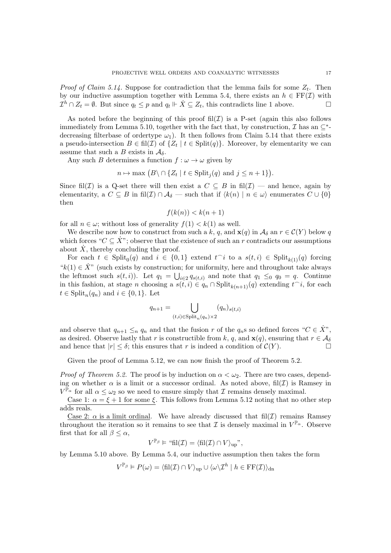*Proof of Claim 5.14.* Suppose for contradiction that the lemma fails for some  $Z_t$ . Then by our inductive assumption together with Lemma 5.4, there exists an  $h \in \text{FF}(\mathcal{I})$  with  $\mathcal{T}^h \cap Z_t = \emptyset$ . But since  $a_t \leq n$  and  $a_t \Vdash \dot{X} \subseteq Z_t$ , this contradicts line 1 above.  $\mathcal{I}^h \cap Z_t = \emptyset$ . But since  $q_t \leq p$  and  $q_t \Vdash \dot{X} \subseteq Z_t$ , this contradicts line 1 above.

As noted before the beginning of this proof  $\text{fil}(\mathcal{I})$  is a P-set (again this also follows immediately from Lemma 5.10, together with the fact that, by construction,  $\mathcal I$  has an  $\subset^*$ decreasing filterbase of ordertype  $\omega_1$ ). It then follows from Claim 5.14 that there exists a pseudo-intersection  $B \in \text{fil}(\mathcal{I})$  of  $\{Z_t | t \in \text{Split}(q)\}\)$ . Moreover, by elementarity we can assume that such a *B* exists in  $A_{\delta}$ .

Any such *B* determines a function  $f : \omega \to \omega$  given by

$$
n \mapsto \max (B \setminus \cap \{Z_t \mid t \in \text{Split}_j(q) \text{ and } j \leq n+1\}).
$$

Since fil(*I*) is a Q-set there will then exist a  $C \subseteq B$  in fil(*I*) — and hence, again by elementarity, a  $C \subseteq B$  in fil $(\mathcal{I}) \cap \mathcal{A}_{\delta}$  — such that if  $\langle k(n) | n \in \omega \rangle$  enumerates  $C \cup \{0\}$ then

$$
f(k(n)) < k(n+1)
$$

for all  $n \in \omega$ ; without loss of generality  $f(1) < k(1)$  as well.

We describe now how to construct from such a k, q, and  $\mathbf{x}(q)$  in  $\mathcal{A}_{\delta}$  an  $r \in \mathcal{C}(Y)$  below q which forces " $C \subseteq \dot{X}$ "; observe that the existence of such an *r* contradicts our assumptions about  $\dot{X}$ , thereby concluding the proof.

For each  $t \in \text{Split}_0(q)$  and  $i \in \{0,1\}$  extend  $t^i$  to a  $s(t, i) \in \text{Split}_{k(1)}(q)$  forcing " $k(1) \in \dot{X}$ " (such exists by construction; for uniformity, here and throughout take always the leftmost such  $s(t, i)$ ). Let  $q_1 = \bigcup_{i \in 2} q_{s(t, i)}$  and note that  $q_1 \leq_0 q_0 = q$ . Continue in this fashion, at stage *n* choosing a  $s(t, i) \in q_n \cap \text{Split}_{k(n+1)}(q)$  extending  $t^i$ , for each  $t \in \text{Split}_n(q_n)$  and  $i \in \{0, 1\}$ . Let

$$
q_{n+1} = \bigcup_{(t,i)\in \text{Split}_n(q_n)\times 2} (q_n)_{s(t,i)}
$$

and observe that  $q_{n+1} \leq_n q_n$  and that the fusion *r* of the  $q_n$ s so defined forces " $C \in \dot{X}$ ", as desired. Observe lastly that *r* is constructible from *k*, *q*, and **x**(*q*), ensuring that  $r \in A_{\delta}$ <br>and hence that  $|r| < \delta$ ; this ensures that *r* is indeed a condition of  $C(Y)$ . and hence that  $|r| \leq \delta$ ; this ensures that r is indeed a condition of  $\mathcal{C}(Y)$ .

Given the proof of Lemma 5.12, we can now finish the proof of Theorem 5.2.

*Proof of Theorem 5.2.* The proof is by induction on  $\alpha < \omega_2$ . There are two cases, depending on whether  $\alpha$  is a limit or a successor ordinal. As noted above, fil $(\mathcal{I})$  is Ramsey in  $V^{\mathbb{P}_{\alpha}}$  for all  $\alpha \leq \omega_2$  so we need to ensure simply that *I* remains densely maximal.

Case 1:  $\alpha = \xi + 1$  for some  $\xi$ . This follows from Lemma 5.12 noting that no other step adds reals.

Case 2:  $\alpha$  is a limit ordinal. We have already discussed that fil $(\mathcal{I})$  remains Ramsey throughout the iteration so it remains to see that *I* is densely maximal in  $V^{\mathbb{P}_{\alpha}}$ . Observe first that for all  $\beta \leq \alpha$ ,

$$
V^{\mathbb{P}_{\beta}} \models \text{``fil}(\mathcal{I}) = \langle \text{fil}(\mathcal{I}) \cap V \rangle_{\text{up}}",
$$

by Lemma 5.10 above. By Lemma 5.4, our inductive assumption then takes the form

$$
V^{\mathbb{P}_{\beta}} \vDash P(\omega) = \langle \mathrm{fil}(\mathcal{I}) \cap V \rangle_{\mathrm{up}} \cup \langle \omega \rangle \mathcal{I}^h \mid h \in \mathrm{FF}(\mathcal{I}) \rangle_{\mathrm{dn}}
$$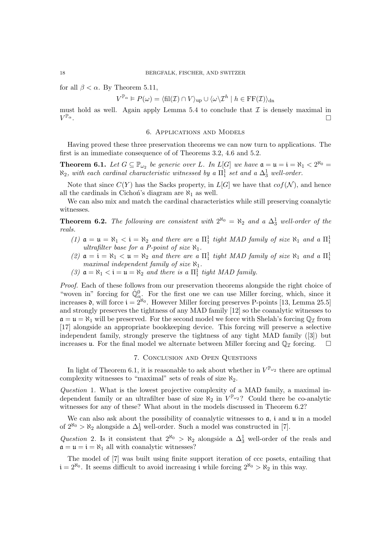for all  $\beta < \alpha$ . By Theorem 5.11,

$$
V^{\mathbb{P}_{\alpha}} \vDash P(\omega) = \langle \mathrm{fil}(\mathcal{I}) \cap V \rangle_{\mathrm{up}} \cup \langle \omega \backslash \mathcal{I}^h \mid h \in \mathrm{FF}(\mathcal{I}) \rangle_{\mathrm{dn}}
$$

must hold as well. Again apply Lemma 5.4 to conclude that  $\mathcal I$  is densely maximal in  $V^{\mathbb{P}_{\alpha}}$ .  $V^{\mathbb{P}_{\alpha}}$ .

#### 6. Applications and Models

Having proved these three preservation theorems we can now turn to applications. The first is an immediate consequence of of Theorems 3.2, 4.6 and 5.2.

**Theorem 6.1.** Let  $G \subseteq \mathbb{P}_{\omega_2}$  be generic over *L*. In L[G] we have  $\mathfrak{a} = \mathfrak{u} = \mathfrak{i} = \aleph_1 < 2^{\aleph_0} =$  $\aleph_2$ , with each cardinal characteristic witnessed by a  $\Pi^1_1$  set and a  $\Delta^1_3$  well-order.

Note that since  $C(Y)$  has the Sacks property, in  $L[G]$  we have that  $cof(\mathcal{N})$ , and hence all the cardinals in Cichon's diagram are  $\aleph_1$  as well.

We can also mix and match the cardinal characteristics while still preserving coanalytic witnesses.

**Theorem 6.2.** The following are consistent with  $2^{\aleph_0} = \aleph_2$  and a  $\Delta_3^1$  well-order of the *reals.*

- (1)  $\mathfrak{a} = \mathfrak{u} = \aleph_1 < \mathfrak{i} = \aleph_2$  and there are a  $\Pi_1^1$  tight MAD family of size  $\aleph_1$  and a  $\Pi_1^1$ *ultrafilter base for a P-point of size*  $\aleph_1$ *.*
- (2)  $\mathfrak{a} = \mathfrak{i} = \mathfrak{d}_1 < \mathfrak{u} = \mathfrak{d}_2$  and there are a  $\Pi_1^1$  tight MAD family of size  $\mathfrak{d}_1$  and a  $\Pi_1^1$ *maximal independent family of size*  $\aleph_1$ *.*
- (3)  $\mathfrak{a} = \aleph_1 < \mathfrak{i} = \mathfrak{u} = \aleph_2$  and there is a  $\Pi_1^1$  tight MAD family.

*Proof.* Each of these follows from our preservation theorems alongside the right choice of "woven in" forcing for  $\dot{\mathbb{Q}}_{\alpha}^0$ . For the first one we can use Miller forcing, which, since it increases  $\mathfrak{d}$ , will force  $i = 2^{\aleph_0}$ . However Miller forcing preserves P-points [13, Lemma 25.5] and strongly preserves the tightness of any MAD family [12] so the coanalytic witnesses to  $\mathfrak{a} = \mathfrak{u} = \aleph_1$  will be preserved. For the second model we force with Shelah's forcing  $\mathbb{Q}_I$  from [17] alongside an appropriate bookkeeping device. This forcing will preserve a selective independent family, strongly preserve the tightness of any tight MAD family ([3]) but increases u. For the final model we alternate between Miller forcing and  $\mathbb{Q}_I$  forcing.  $\Box$ 

#### 7. Conclusion and Open Questions

In light of Theorem 6.1, it is reasonable to ask about whether in  $V^{\mathbb{P}_{\omega_2}}$  there are optimal complexity witnesses to "maximal" sets of reals of size  $\aleph_2$ .

*Question* 1*.* What is the lowest projective complexity of a MAD family, a maximal independent family or an ultrafilter base of size  $\aleph_2$  in  $V^{l\!\!P\omega_2}$ ? Could there be co-analytic witnesses for any of these? What about in the models discussed in Theorem 6.2?

We can also ask about the possibility of coanalytic witnesses to  $a$ , i and  $u$  in a model of  $2^{\aleph_0} > \aleph_2$  alongside a  $\Delta_3^1$  well-order. Such a model was constructed in [7].

*Question* 2. Is it consistent that  $2^{N_0} > N_2$  alongside a  $\Delta_3^1$  well-order of the reals and  $a = u = i = \aleph_1$  all with coanalytic witnesses?

The model of [7] was built using finite support iteration of ccc posets, entailing that  $i = 2^{\aleph_0}$ . It seems difficult to avoid increasing i while forcing  $2^{\aleph_0} > \aleph_2$  in this way.